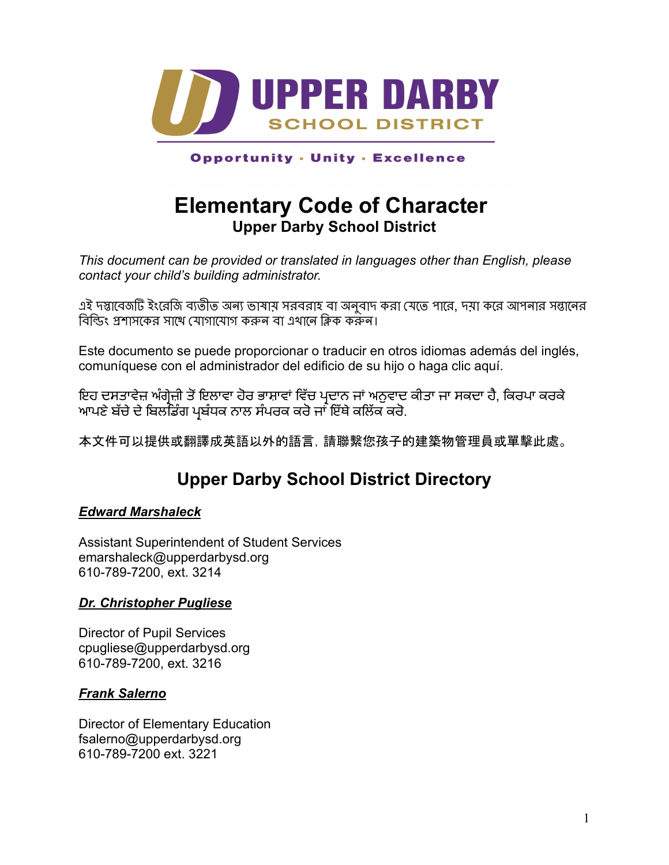

**Opportunity - Unity - Excellence** 

# **Elementary Code of Character Upper Darby School District**

*This document can be provided or translated in languages other than English, please contact your child's building administrator.*

এই দস্তাবেজটি ইংরেজি ব্যতীত অন্য ভাষায় সরবরাহ বা অনুবাদ করা যেতে পারে, দয়া করে আপনার সন্তানের বিল্ডিং প্রশাসকের সাথে যোগাযোগ করুন বা এখানে ক্লিক করুন।

Este documento se puede proporcionar o traducir en otros idiomas además del inglés, comuníquese con el administrador del edificio de su hijo o haga clic aquí.

ਇਹ ਦਸਤਾਵੇਜ਼ ਅੰਗ੍ਰੇਜ਼ੀ ਤੋਂਇਲਾਵਾ ਹੋਰ ਭਾਸ਼ਾਵਾਂ ਵਿੱਚ ਪ੍ਰਦਾਨ ਜਾਂ ਅਨੁਵਾਦ ਕੀਤਾ ਜਾ ਸਕਦਾ ਹੈ, ਕਿਰਪਾ ਕਰਕੇ ਆਪਣੇ ਬੱਚੇ ਦੇ ਬਿਲਡਿੰਗ ਪ੍ਰਬੰਧਕ ਨਾਲ ਸੰਪਰਕ ਕਰੋ ਜਾਂ ਇੱਥੇ ਕਲਿੱਕ ਕਰੋ.

本文件可以提供或翻譯成英語以外的語言,請聯繫您孩子的建築物管理員或單擊此處。

# **Upper Darby School District Directory**

### *[Edward Marshaleck](https://www.upperdarbysd.org/site/default.aspx?PageType=3&ModuleInstanceID=21457&ViewID=7b97f7ed-8e5e-4120-848f-a8b4987d588f&RenderLoc=0&FlexDataID=35138&PageID=6600)*

Assistant Superintendent of Student Services emarshaleck@upperdarbysd.org 610-789-7200, ext. 3214

#### *[Dr. Christopher Pugliese](https://www.upperdarbysd.org/site/default.aspx?PageType=3&ModuleInstanceID=21457&ViewID=7b97f7ed-8e5e-4120-848f-a8b4987d588f&RenderLoc=0&FlexDataID=35137&PageID=6600)*

Director of Pupil Services cpugliese@upperdarbysd.org 610-789-7200, ext. 3216

#### *[Frank Salerno](https://www.upperdarbysd.org/site/default.aspx?PageType=3&ModuleInstanceID=21447&ViewID=7b97f7ed-8e5e-4120-848f-a8b4987d588f&RenderLoc=0&FlexDataID=35111&PageID=2662)*

Director of Elementary Education fsalerno@upperdarbysd.org 610-789-7200 ext. 3221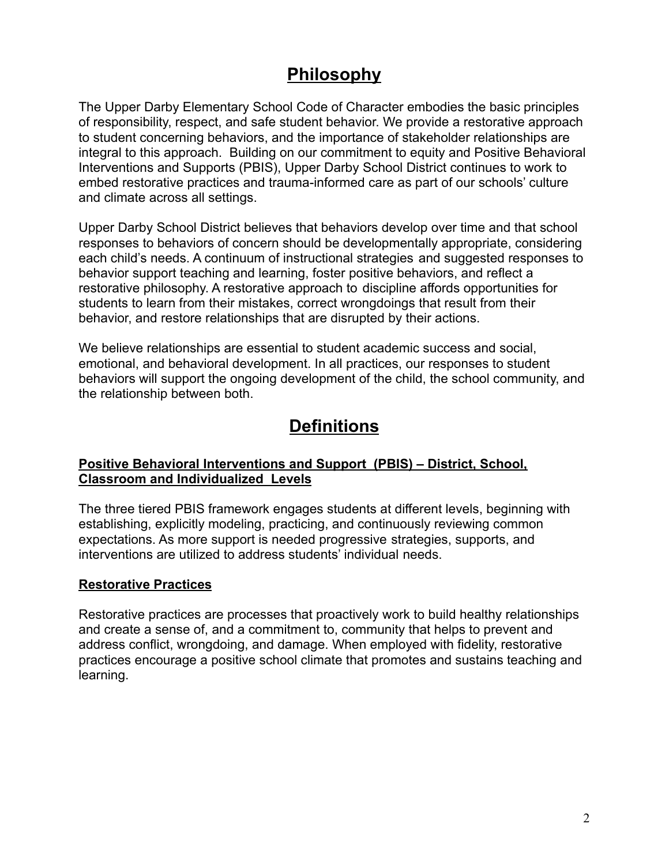## **Philosophy**

The Upper Darby Elementary School Code of Character embodies the basic principles of responsibility, respect, and safe student behavior. We provide a restorative approach to student concerning behaviors, and the importance of stakeholder relationships are integral to this approach. Building on our commitment to equity and Positive Behavioral Interventions and Supports (PBIS), Upper Darby School District continues to work to embed restorative practices and trauma-informed care as part of our schools' culture and climate across all settings.

Upper Darby School District believes that behaviors develop over time and that school responses to behaviors of concern should be developmentally appropriate, considering each child's needs. A continuum of instructional strategies and suggested responses to behavior support teaching and learning, foster positive behaviors, and reflect a restorative philosophy. A restorative approach to discipline affords opportunities for students to learn from their mistakes, correct wrongdoings that result from their behavior, and restore relationships that are disrupted by their actions.

We believe relationships are essential to student academic success and social, emotional, and behavioral development. In all practices, our responses to student behaviors will support the ongoing development of the child, the school community, and the relationship between both.

## **Definitions**

#### **Positive Behavioral Interventions and Support (PBIS) – District, School, Classroom and Individualized Levels**

The three tiered PBIS framework engages students at different levels, beginning with establishing, explicitly modeling, practicing, and continuously reviewing common expectations. As more support is needed progressive strategies, supports, and interventions are utilized to address students' individual needs.

#### **Restorative Practices**

Restorative practices are processes that proactively work to build healthy relationships and create a sense of, and a commitment to, community that helps to prevent and address conflict, wrongdoing, and damage. When employed with fidelity, restorative practices encourage a positive school climate that promotes and sustains teaching and learning.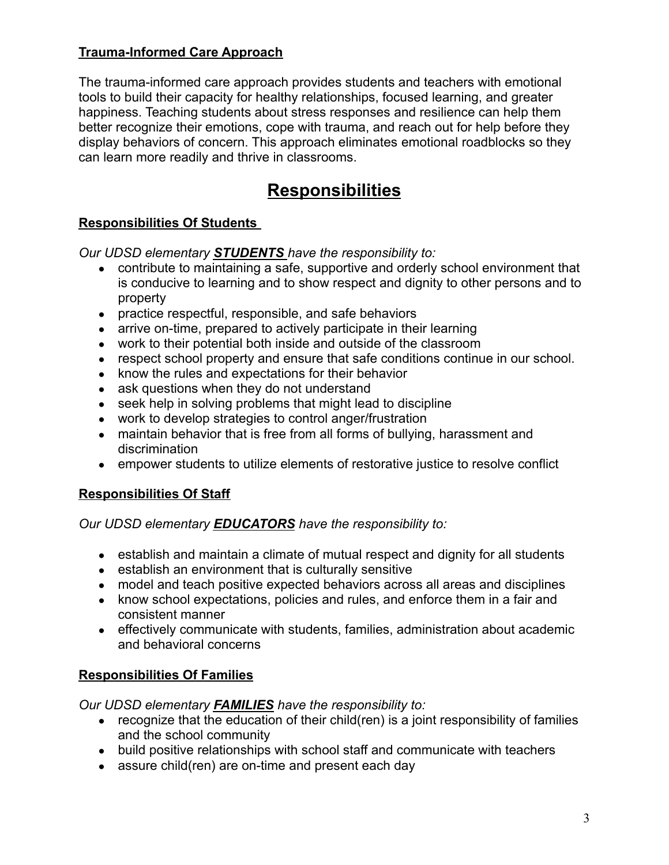## **Trauma-Informed Care Approach**

The trauma-informed care approach provides students and teachers with emotional tools to build their capacity for healthy relationships, focused learning, and greater happiness. Teaching students about stress responses and resilience can help them better recognize their emotions, cope with trauma, and reach out for help before they display behaviors of concern. This approach eliminates emotional roadblocks so they can learn more readily and thrive in classrooms.

# **Responsibilities**

## **Responsibilities Of Students**

*Our UDSD elementary STUDENTS have the responsibility to:*

- contribute to maintaining a safe, supportive and orderly school environment that is conducive to learning and to show respect and dignity to other persons and to property
- practice respectful, responsible, and safe behaviors
- arrive on-time, prepared to actively participate in their learning
- work to their potential both inside and outside of the classroom
- respect school property and ensure that safe conditions continue in our school.
- know the rules and expectations for their behavior
- ask questions when they do not understand
- seek help in solving problems that might lead to discipline
- work to develop strategies to control anger/frustration
- maintain behavior that is free from all forms of bullying, harassment and discrimination
- empower students to utilize elements of restorative justice to resolve conflict

## **Responsibilities Of Staff**

*Our UDSD elementary EDUCATORS have the responsibility to:*

- establish and maintain a climate of mutual respect and dignity for all students
- establish an environment that is culturally sensitive
- model and teach positive expected behaviors across all areas and disciplines
- know school expectations, policies and rules, and enforce them in a fair and consistent manner
- effectively communicate with students, families, administration about academic and behavioral concerns

## **Responsibilities Of Families**

*Our UDSD elementary FAMILIES have the responsibility to:*

- $\bullet$  recognize that the education of their child(ren) is a joint responsibility of families and the school community
- build positive relationships with school staff and communicate with teachers
- assure child(ren) are on-time and present each day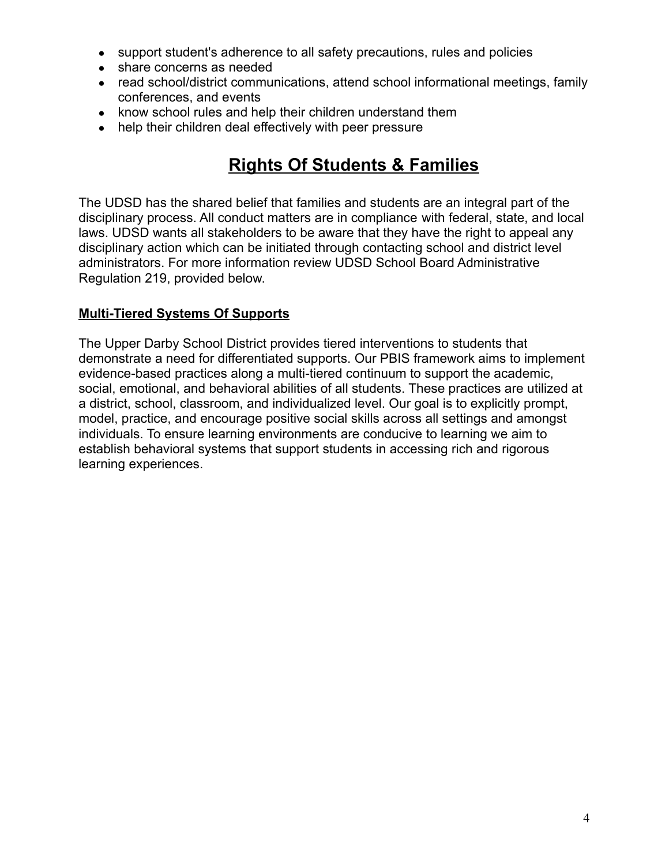- support student's adherence to all safety precautions, rules and policies
- share concerns as needed
- read school/district communications, attend school informational meetings, family conferences, and events
- know school rules and help their children understand them
- help their children deal effectively with peer pressure

# **Rights Of Students & Families**

The UDSD has the shared belief that families and students are an integral part of the disciplinary process. All conduct matters are in compliance with federal, state, and local laws. UDSD wants all stakeholders to be aware that they have the right to appeal any disciplinary action which can be initiated through contacting school and district level administrators. For more information review UDSD School Board Administrative Regulation 219, provided below.

### **Multi-Tiered Systems Of Supports**

The Upper Darby School District provides tiered interventions to students that demonstrate a need for differentiated supports. Our PBIS framework aims to implement evidence-based practices along a multi-tiered continuum to support the academic, social, emotional, and behavioral abilities of all students. These practices are utilized at a district, school, classroom, and individualized level. Our goal is to explicitly prompt, model, practice, and encourage positive social skills across all settings and amongst individuals. To ensure learning environments are conducive to learning we aim to establish behavioral systems that support students in accessing rich and rigorous learning experiences.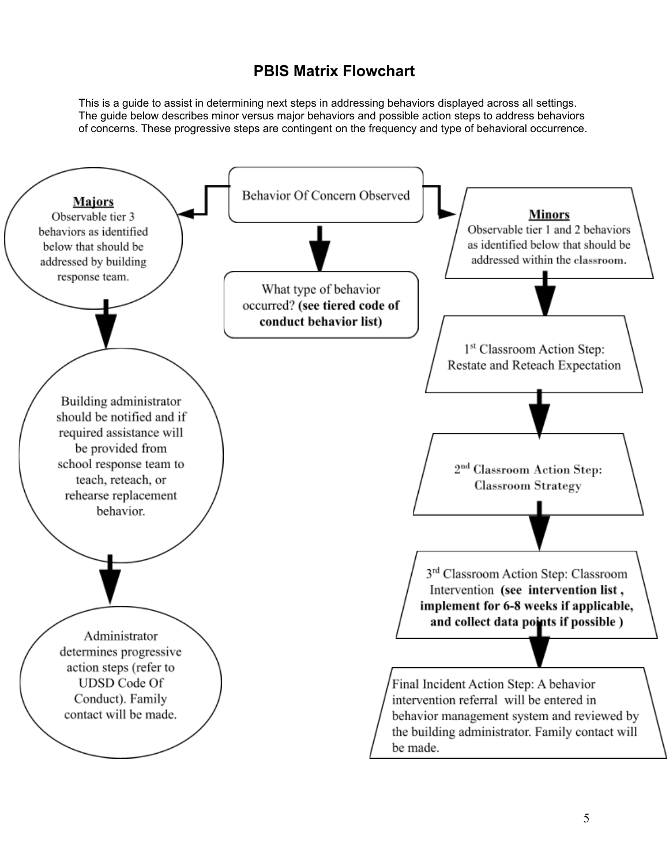## **PBIS Matrix Flowchart**

This is a guide to assist in determining next steps in addressing behaviors displayed across all settings. The guide below describes minor versus major behaviors and possible action steps to address behaviors of concerns. These progressive steps are contingent on the frequency and type of behavioral occurrence.

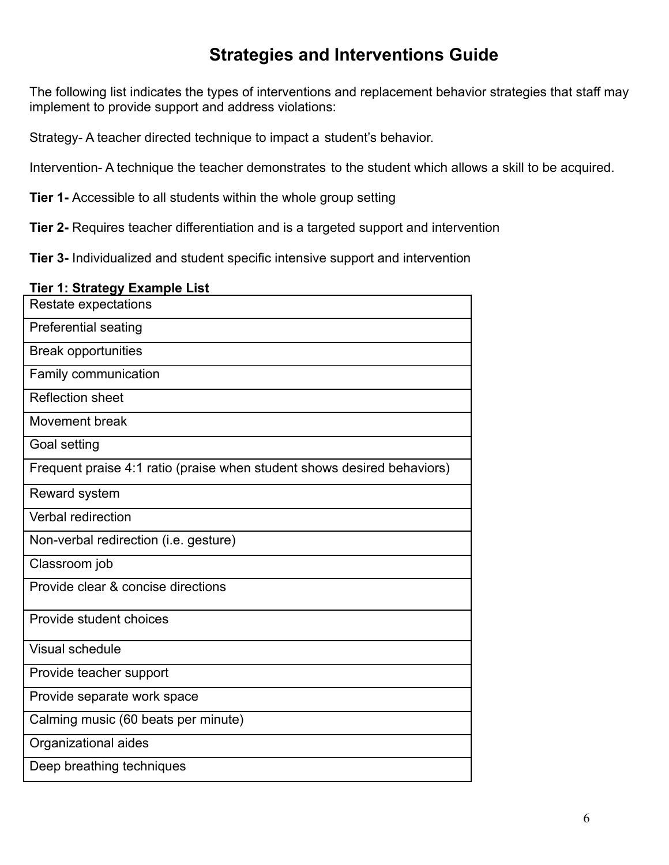# **Strategies and Interventions Guide**

The following list indicates the types of interventions and replacement behavior strategies that staff may implement to provide support and address violations:

Strategy- A teacher directed technique to impact a student's behavior.

Intervention- A technique the teacher demonstrates to the student which allows a skill to be acquired.

**Tier 1-** Accessible to all students within the whole group setting

**Tier 2-** Requires teacher differentiation and is a targeted support and intervention

**Tier 3-** Individualized and student specific intensive support and intervention

#### **Tier 1: Strategy Example List**

| $\cdots$ $\cdots$ $\cdots$ $\cdots$ $\cdots$<br>Restate expectations    |
|-------------------------------------------------------------------------|
| <b>Preferential seating</b>                                             |
| <b>Break opportunities</b>                                              |
| Family communication                                                    |
| <b>Reflection sheet</b>                                                 |
| Movement break                                                          |
| Goal setting                                                            |
| Frequent praise 4:1 ratio (praise when student shows desired behaviors) |
| Reward system                                                           |
| Verbal redirection                                                      |
| Non-verbal redirection (i.e. gesture)                                   |
| Classroom job                                                           |
| Provide clear & concise directions                                      |
| Provide student choices                                                 |
| <b>Visual schedule</b>                                                  |
| Provide teacher support                                                 |
| Provide separate work space                                             |
| Calming music (60 beats per minute)                                     |
| Organizational aides                                                    |
| Deep breathing techniques                                               |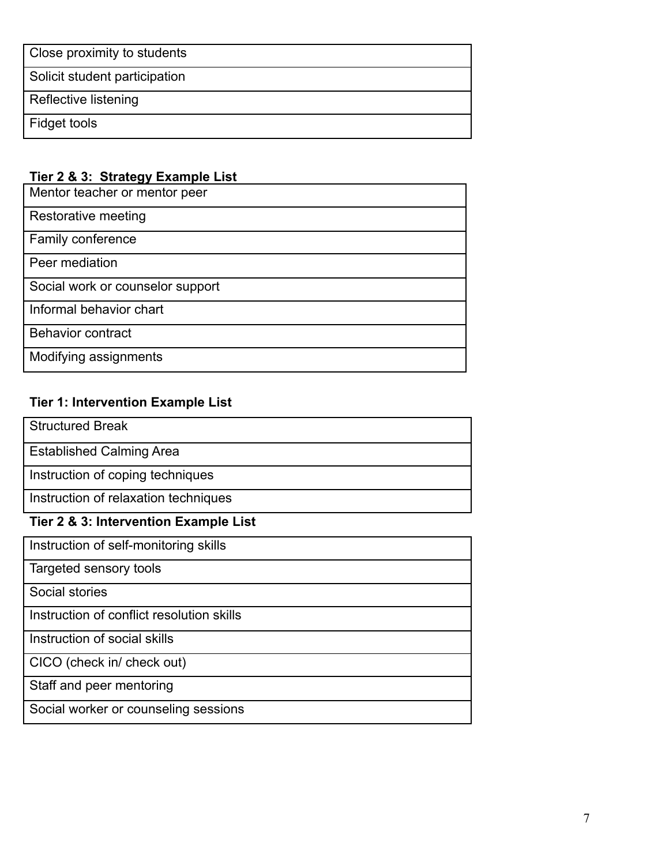| Close proximity to students   |
|-------------------------------|
| Solicit student participation |
| Reflective listening          |
| Fidget tools                  |

## **Tier 2 & 3: Strategy Example List**

| Mentor teacher or mentor peer    |
|----------------------------------|
| Restorative meeting              |
| Family conference                |
| Peer mediation                   |
| Social work or counselor support |
| Informal behavior chart          |
| Behavior contract                |
| Modifying assignments            |

## **Tier 1: Intervention Example List**

| <b>Structured Break</b>                   |
|-------------------------------------------|
| <b>Established Calming Area</b>           |
| Instruction of coping techniques          |
| Instruction of relaxation techniques      |
| Tier 2 & 3: Intervention Example List     |
| Instruction of self-monitoring skills     |
| Targeted sensory tools                    |
| Social stories                            |
| Instruction of conflict resolution skills |
| Instruction of social skills              |
| CICO (check in/ check out)                |
| Staff and peer mentoring                  |
| Social worker or counseling sessions      |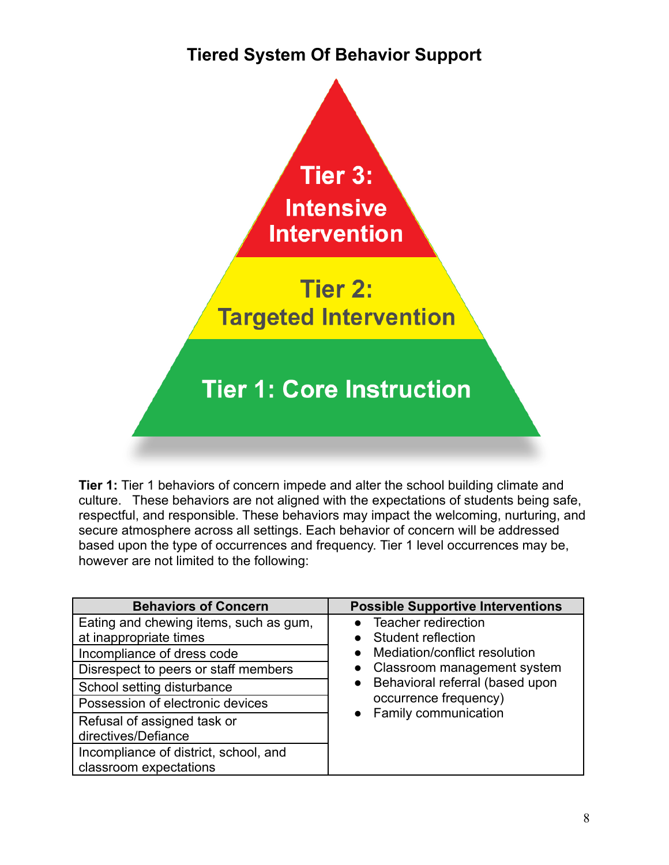# **Tiered System Of Behavior Support**



**Tier 1:** Tier 1 behaviors of concern impede and alter the school building climate and culture. These behaviors are not aligned with the expectations of students being safe, respectful, and responsible. These behaviors may impact the welcoming, nurturing, and secure atmosphere across all settings. Each behavior of concern will be addressed based upon the type of occurrences and frequency. Tier 1 level occurrences may be, however are not limited to the following:

| <b>Behaviors of Concern</b>            | <b>Possible Supportive Interventions</b>                                                               |
|----------------------------------------|--------------------------------------------------------------------------------------------------------|
| Eating and chewing items, such as gum, | Teacher redirection                                                                                    |
| at inappropriate times                 | Student reflection                                                                                     |
| Incompliance of dress code             | Mediation/conflict resolution<br>$\bullet$                                                             |
| Disrespect to peers or staff members   | • Classroom management system<br>Behavioral referral (based upon<br>$\bullet$<br>occurrence frequency) |
| School setting disturbance             |                                                                                                        |
| Possession of electronic devices       |                                                                                                        |
| Refusal of assigned task or            | Family communication                                                                                   |
| directives/Defiance                    |                                                                                                        |
| Incompliance of district, school, and  |                                                                                                        |
| classroom expectations                 |                                                                                                        |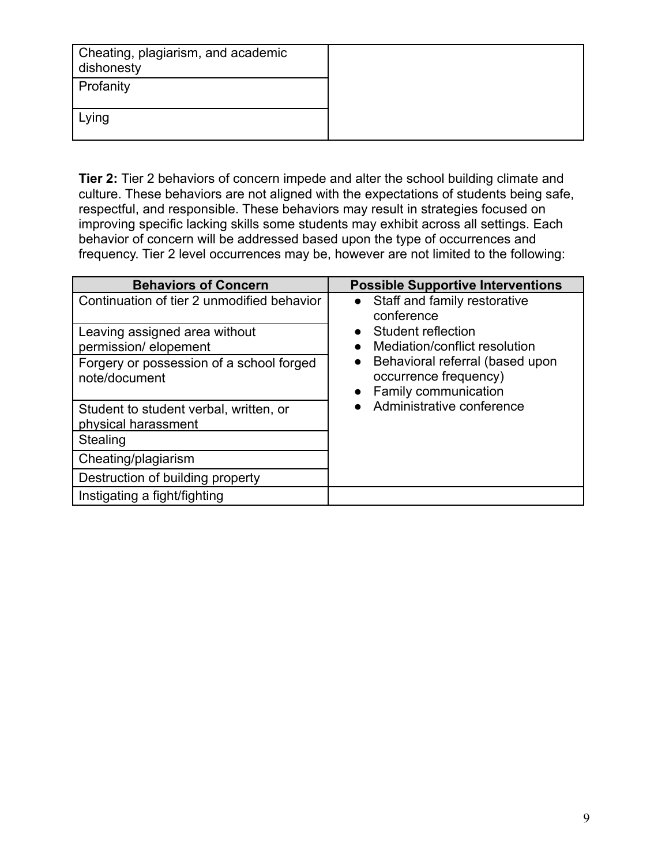| Cheating, plagiarism, and academic<br>dishonesty |
|--------------------------------------------------|
| Profanity                                        |
| Lying                                            |

**Tier 2:** Tier 2 behaviors of concern impede and alter the school building climate and culture. These behaviors are not aligned with the expectations of students being safe, respectful, and responsible. These behaviors may result in strategies focused on improving specific lacking skills some students may exhibit across all settings. Each behavior of concern will be addressed based upon the type of occurrences and frequency. Tier 2 level occurrences may be, however are not limited to the following:

| <b>Behaviors of Concern</b>                                   | <b>Possible Supportive Interventions</b>                                                                                                                                           |
|---------------------------------------------------------------|------------------------------------------------------------------------------------------------------------------------------------------------------------------------------------|
| Continuation of tier 2 unmodified behavior                    | Staff and family restorative                                                                                                                                                       |
| Leaving assigned area without<br>permission/elopement         | conference<br>Student reflection<br>Mediation/conflict resolution<br>Behavioral referral (based upon<br>occurrence frequency)<br>Family communication<br>Administrative conference |
| Forgery or possession of a school forged<br>note/document     |                                                                                                                                                                                    |
| Student to student verbal, written, or<br>physical harassment |                                                                                                                                                                                    |
| Stealing                                                      |                                                                                                                                                                                    |
| Cheating/plagiarism                                           |                                                                                                                                                                                    |
| Destruction of building property                              |                                                                                                                                                                                    |
| Instigating a fight/fighting                                  |                                                                                                                                                                                    |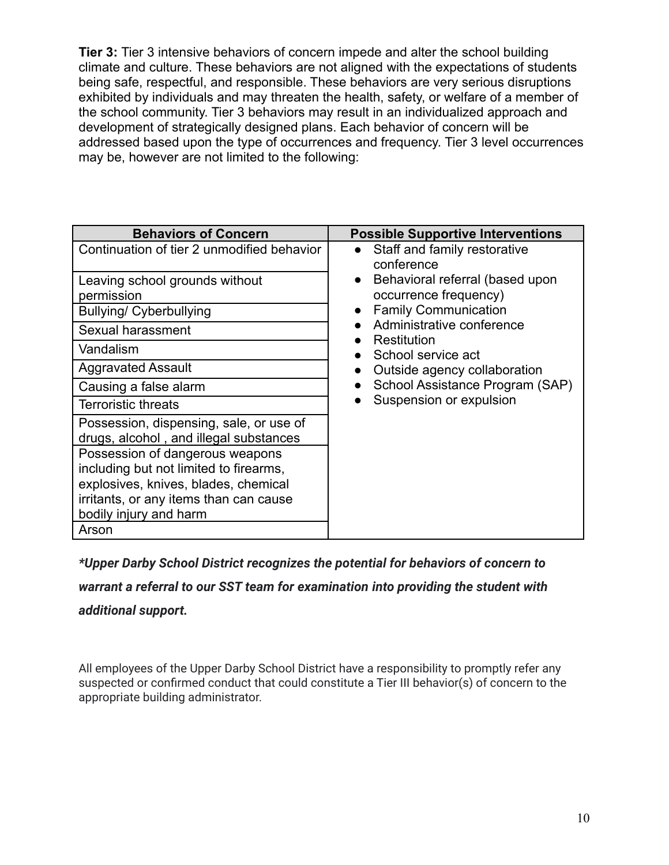**Tier 3:** Tier 3 intensive behaviors of concern impede and alter the school building climate and culture. These behaviors are not aligned with the expectations of students being safe, respectful, and responsible. These behaviors are very serious disruptions exhibited by individuals and may threaten the health, safety, or welfare of a member of the school community. Tier 3 behaviors may result in an individualized approach and development of strategically designed plans. Each behavior of concern will be addressed based upon the type of occurrences and frequency. Tier 3 level occurrences may be, however are not limited to the following:

| <b>Behaviors of Concern</b>                                                                                                                                                                    | <b>Possible Supportive Interventions</b>                                                              |
|------------------------------------------------------------------------------------------------------------------------------------------------------------------------------------------------|-------------------------------------------------------------------------------------------------------|
| Continuation of tier 2 unmodified behavior                                                                                                                                                     | Staff and family restorative                                                                          |
| Leaving school grounds without<br>permission<br><b>Bullying/ Cyberbullying</b>                                                                                                                 | conference<br>Behavioral referral (based upon<br>occurrence frequency)<br><b>Family Communication</b> |
| Sexual harassment                                                                                                                                                                              | Administrative conference                                                                             |
| Vandalism                                                                                                                                                                                      | Restitution<br>School service act<br>Outside agency collaboration                                     |
| <b>Aggravated Assault</b>                                                                                                                                                                      |                                                                                                       |
| Causing a false alarm                                                                                                                                                                          | School Assistance Program (SAP)                                                                       |
| <b>Terroristic threats</b>                                                                                                                                                                     | Suspension or expulsion                                                                               |
| Possession, dispensing, sale, or use of<br>drugs, alcohol, and illegal substances                                                                                                              |                                                                                                       |
| Possession of dangerous weapons<br>including but not limited to firearms,<br>explosives, knives, blades, chemical<br>irritants, or any items than can cause<br>bodily injury and harm<br>Arson |                                                                                                       |

*\*Upper Darby School District recognizes the potential for behaviors of concern to*

*warrant a referral to our SST team for examination into providing the student with*

*additional support.*

All employees of the Upper Darby School District have a responsibility to promptly refer any suspected or confirmed conduct that could constitute a Tier III behavior(s) of concern to the appropriate building administrator.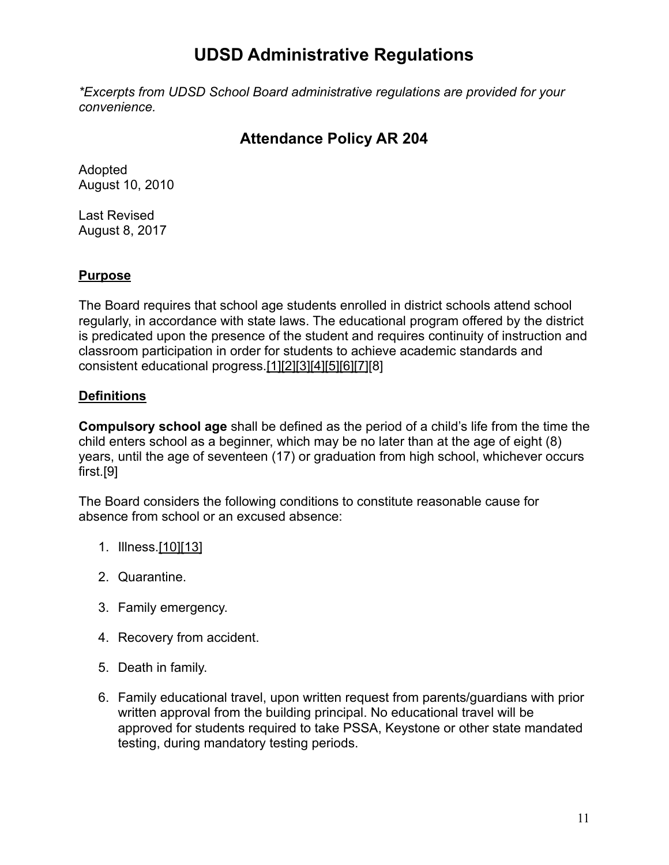## **UDSD Administrative Regulations**

*\*Excerpts from UDSD School Board administrative regulations are provided for your convenience.*

## **Attendance Policy AR 204**

Adopted August 10, 2010

Last Revised August 8, 2017

### **Purpose**

The Board requires that school age students enrolled in district schools attend school regularly, in accordance with state laws. The educational program offered by the district is predicated upon the presence of the student and requires continuity of instruction and classroom participation in order for students to achieve academic standards and consistent educational progress[.\[1\]](http://www.legis.state.pa.us/cfdocs/legis/LI/uconsCheck.cfm?txtType=HTM&yr=1949&sessInd=0&smthLwInd=0&act=14&chpt=13&sctn=1&subsctn=0)[\[2\]](http://www.legis.state.pa.us/cfdocs/legis/LI/uconsCheck.cfm?txtType=HTM&yr=1949&sessInd=0&smthLwInd=0&act=14&chpt=13&sctn=26&subsctn=0)[\[3\]](http://www.legis.state.pa.us/cfdocs/legis/LI/uconsCheck.cfm?txtType=HTM&yr=1949&sessInd=0&smthLwInd=0&act=14&chpt=13&sctn=27&subsctn=0)[\[4\]](http://pacodeandbulletin.gov/Display/pacode?file=/secure/pacode/data/022/chapter11/s11.12.html&d=reduce)[\[5\]](http://pacodeandbulletin.gov/Display/pacode?file=/secure/pacode/data/022/chapter11/s11.13.html&d=reduce)[\[6\]](http://pacodeandbulletin.gov/Display/pacode?file=/secure/pacode/data/022/chapter11/s11.41.html&d=reduce)[\[7\]](http://pacodeandbulletin.gov/Display/pacode?file=/secure/pacode/data/022/chapter12/s12.1.html&d=reduce)[8]

### **Definitions**

**Compulsory school age** shall be defined as the period of a child's life from the time the child enters school as a beginner, which may be no later than at the age of eight (8) years, until the age of seventeen (17) or graduation from high school, whichever occurs first.[9]

The Board considers the following conditions to constitute reasonable cause for absence from school or an excused absence:

- 1. Illness[.\[10\]](http://pacodeandbulletin.gov/Display/pacode?file=/secure/pacode/data/022/chapter11/s11.25.html&d=reduce)[\[13\]](http://www.legis.state.pa.us/cfdocs/legis/LI/uconsCheck.cfm?txtType=HTM&yr=1949&sessInd=0&smthLwInd=0&act=14&chpt=13&sctn=29&subsctn=0)
- 2. Quarantine.
- 3. Family emergency.
- 4. Recovery from accident.
- 5. Death in family.
- 6. Family educational travel, upon written request from parents/guardians with prior written approval from the building principal. No educational travel will be approved for students required to take PSSA, Keystone or other state mandated testing, during mandatory testing periods.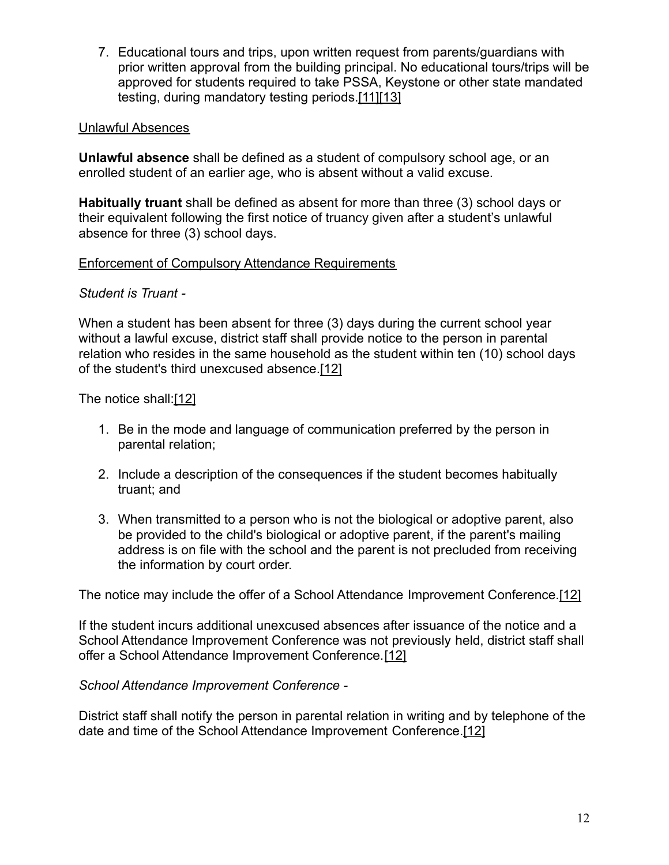7. Educational tours and trips, upon written request from parents/guardians with prior written approval from the building principal. No educational tours/trips will be approved for students required to take PSSA, Keystone or other state mandated testing, during mandatory testing periods.[\[11\]](http://pacodeandbulletin.gov/Display/pacode?file=/secure/pacode/data/022/chapter11/s11.26.html&d=reduce)[\[13\]](http://www.legis.state.pa.us/cfdocs/legis/LI/uconsCheck.cfm?txtType=HTM&yr=1949&sessInd=0&smthLwInd=0&act=14&chpt=13&sctn=29&subsctn=0)

#### Unlawful Absences

**Unlawful absence** shall be defined as a student of compulsory school age, or an enrolled student of an earlier age, who is absent without a valid excuse.

**Habitually truant** shall be defined as absent for more than three (3) school days or their equivalent following the first notice of truancy given after a student's unlawful absence for three (3) school days.

### Enforcement of Compulsory Attendance Requirements

### *Student is Truant -*

When a student has been absent for three (3) days during the current school year without a lawful excuse, district staff shall provide notice to the person in parental relation who resides in the same household as the student within ten (10) school days of the student's third unexcused absence.[\[12\]](http://www.legis.state.pa.us/cfdocs/legis/LI/uconsCheck.cfm?txtType=HTM&yr=1949&sessInd=0&smthLwInd=0&act=14&chpt=13&sctn=33&subsctn=0)

The notice shall[:\[12\]](http://www.legis.state.pa.us/cfdocs/legis/LI/uconsCheck.cfm?txtType=HTM&yr=1949&sessInd=0&smthLwInd=0&act=14&chpt=13&sctn=33&subsctn=0)

- 1. Be in the mode and language of communication preferred by the person in parental relation;
- 2. Include a description of the consequences if the student becomes habitually truant; and
- 3. When transmitted to a person who is not the biological or adoptive parent, also be provided to the child's biological or adoptive parent, if the parent's mailing address is on file with the school and the parent is not precluded from receiving the information by court order.

The notice may include the offer of a School Attendance Improvement Conference.[\[12\]](http://www.legis.state.pa.us/cfdocs/legis/LI/uconsCheck.cfm?txtType=HTM&yr=1949&sessInd=0&smthLwInd=0&act=14&chpt=13&sctn=33&subsctn=0)

If the student incurs additional unexcused absences after issuance of the notice and a School Attendance Improvement Conference was not previously held, district staff shall offer a School Attendance Improvement Conference.[\[12\]](http://www.legis.state.pa.us/cfdocs/legis/LI/uconsCheck.cfm?txtType=HTM&yr=1949&sessInd=0&smthLwInd=0&act=14&chpt=13&sctn=33&subsctn=0)

*School Attendance Improvement Conference -*

District staff shall notify the person in parental relation in writing and by telephone of the date and time of the School Attendance Improvement Conference[.\[12\]](http://www.legis.state.pa.us/cfdocs/legis/LI/uconsCheck.cfm?txtType=HTM&yr=1949&sessInd=0&smthLwInd=0&act=14&chpt=13&sctn=33&subsctn=0)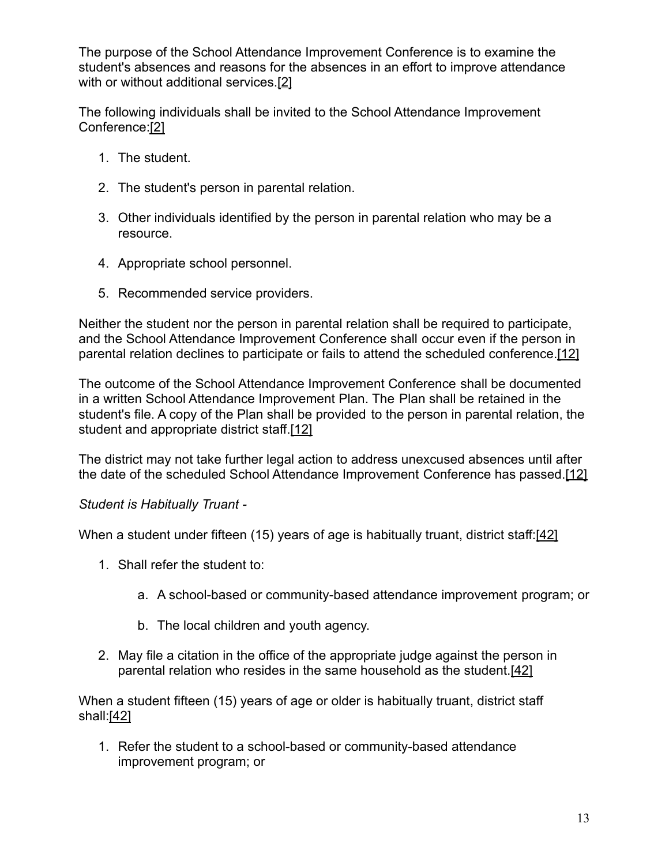The purpose of the School Attendance Improvement Conference is to examine the student's absences and reasons for the absences in an effort to improve attendance with or without additional services.[\[2\]](http://www.legis.state.pa.us/cfdocs/legis/LI/uconsCheck.cfm?txtType=HTM&yr=1949&sessInd=0&smthLwInd=0&act=14&chpt=13&sctn=26&subsctn=0)

The following individuals shall be invited to the School Attendance Improvement Conference[:\[2\]](http://www.legis.state.pa.us/cfdocs/legis/LI/uconsCheck.cfm?txtType=HTM&yr=1949&sessInd=0&smthLwInd=0&act=14&chpt=13&sctn=26&subsctn=0)

- 1. The student.
- 2. The student's person in parental relation.
- 3. Other individuals identified by the person in parental relation who may be a resource.
- 4. Appropriate school personnel.
- 5. Recommended service providers.

Neither the student nor the person in parental relation shall be required to participate, and the School Attendance Improvement Conference shall occur even if the person in parental relation declines to participate or fails to attend the scheduled conference[.\[12\]](http://www.legis.state.pa.us/cfdocs/legis/LI/uconsCheck.cfm?txtType=HTM&yr=1949&sessInd=0&smthLwInd=0&act=14&chpt=13&sctn=33&subsctn=0)

The outcome of the School Attendance Improvement Conference shall be documented in a written School Attendance Improvement Plan. The Plan shall be retained in the student's file. A copy of the Plan shall be provided to the person in parental relation, the student and appropriate district staff.[\[12\]](http://www.legis.state.pa.us/cfdocs/legis/LI/uconsCheck.cfm?txtType=HTM&yr=1949&sessInd=0&smthLwInd=0&act=14&chpt=13&sctn=33&subsctn=0)

The district may not take further legal action to address unexcused absences until after the date of the scheduled School Attendance Improvement Conference has passed.[\[12\]](http://www.legis.state.pa.us/cfdocs/legis/LI/uconsCheck.cfm?txtType=HTM&yr=1949&sessInd=0&smthLwInd=0&act=14&chpt=13&sctn=33&subsctn=0)

### *Student is Habitually Truant -*

When a student under fifteen (15) years of age is habitually truant, district staff: [\[42\]](http://www.legis.state.pa.us/cfdocs/legis/LI/uconsCheck.cfm?txtType=HTM&yr=1949&sessInd=0&smthLwInd=0&act=14&chpt=13&sctn=33&subsctn=1)

- 1. Shall refer the student to:
	- a. A school-based or community-based attendance improvement program; or
	- b. The local children and youth agency.
- 2. May file a citation in the office of the appropriate judge against the person in parental relation who resides in the same household as the student.[\[42\]](http://www.legis.state.pa.us/cfdocs/legis/LI/uconsCheck.cfm?txtType=HTM&yr=1949&sessInd=0&smthLwInd=0&act=14&chpt=13&sctn=33&subsctn=1)

When a student fifteen (15) years of age or older is habitually truant, district staff shall:[\[42\]](http://www.legis.state.pa.us/cfdocs/legis/LI/uconsCheck.cfm?txtType=HTM&yr=1949&sessInd=0&smthLwInd=0&act=14&chpt=13&sctn=33&subsctn=1)

1. Refer the student to a school-based or community-based attendance improvement program; or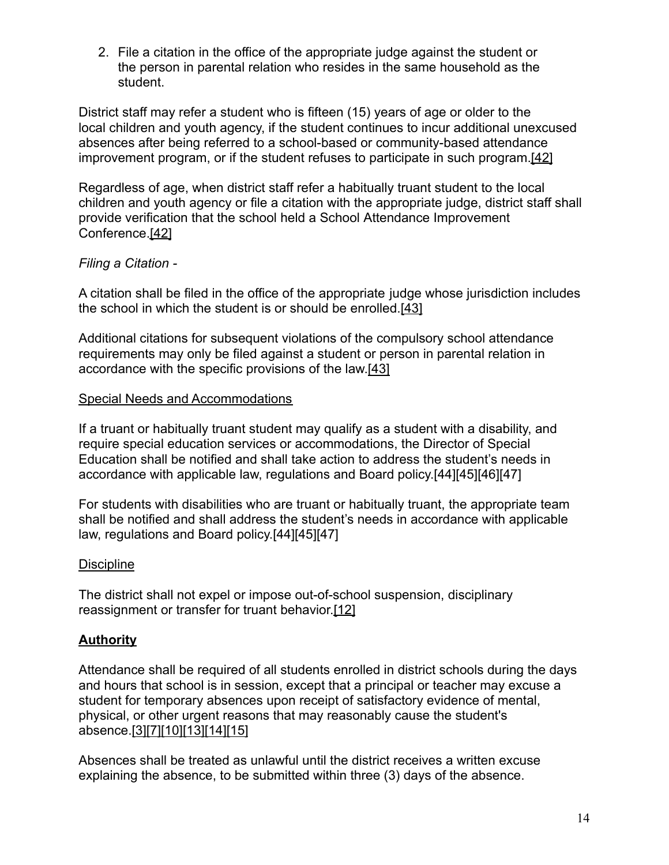2. File a citation in the office of the appropriate judge against the student or the person in parental relation who resides in the same household as the student.

District staff may refer a student who is fifteen (15) years of age or older to the local children and youth agency, if the student continues to incur additional unexcused absences after being referred to a school-based or community-based attendance improvement program, or if the student refuses to participate in such program[.\[42\]](http://www.legis.state.pa.us/cfdocs/legis/LI/uconsCheck.cfm?txtType=HTM&yr=1949&sessInd=0&smthLwInd=0&act=14&chpt=13&sctn=33&subsctn=1)

Regardless of age, when district staff refer a habitually truant student to the local children and youth agency or file a citation with the appropriate judge, district staff shall provide verification that the school held a School Attendance Improvement Conference[.\[42\]](http://www.legis.state.pa.us/cfdocs/legis/LI/uconsCheck.cfm?txtType=HTM&yr=1949&sessInd=0&smthLwInd=0&act=14&chpt=13&sctn=33&subsctn=1)

### *Filing a Citation -*

A citation shall be filed in the office of the appropriate judge whose jurisdiction includes the school in which the student is or should be enrolled.[\[43\]](http://www.legis.state.pa.us/cfdocs/legis/LI/uconsCheck.cfm?txtType=HTM&yr=1949&sessInd=0&smthLwInd=0&act=14&chpt=13&sctn=33&subsctn=2)

Additional citations for subsequent violations of the compulsory school attendance requirements may only be filed against a student or person in parental relation in accordance with the specific provisions of the law.[\[43\]](http://www.legis.state.pa.us/cfdocs/legis/LI/uconsCheck.cfm?txtType=HTM&yr=1949&sessInd=0&smthLwInd=0&act=14&chpt=13&sctn=33&subsctn=2)

#### Special Needs and Accommodations

If a truant or habitually truant student may qualify as a student with a disability, and require special education services or accommodations, the Director of Special Education shall be notified and shall take action to address the student's needs in accordance with applicable law, regulations and Board policy.[44][45][46][47]

For students with disabilities who are truant or habitually truant, the appropriate team shall be notified and shall address the student's needs in accordance with applicable law, regulations and Board policy.[44][45][47]

### **Discipline**

The district shall not expel or impose out-of-school suspension, disciplinary reassignment or transfer for truant behavior[.\[12\]](http://www.legis.state.pa.us/cfdocs/legis/LI/uconsCheck.cfm?txtType=HTM&yr=1949&sessInd=0&smthLwInd=0&act=14&chpt=13&sctn=33&subsctn=0)

### **Authority**

Attendance shall be required of all students enrolled in district schools during the days and hours that school is in session, except that a principal or teacher may excuse a student for temporary absences upon receipt of satisfactory evidence of mental, physical, or other urgent reasons that may reasonably cause the student's absence.[\[3\]](http://www.legis.state.pa.us/cfdocs/legis/LI/uconsCheck.cfm?txtType=HTM&yr=1949&sessInd=0&smthLwInd=0&act=14&chpt=13&sctn=27&subsctn=0)[\[7\]](http://pacodeandbulletin.gov/Display/pacode?file=/secure/pacode/data/022/chapter12/s12.1.html&d=reduce)[\[10\]](http://pacodeandbulletin.gov/Display/pacode?file=/secure/pacode/data/022/chapter11/s11.25.html&d=reduce)[\[13\]](http://www.legis.state.pa.us/cfdocs/legis/LI/uconsCheck.cfm?txtType=HTM&yr=1949&sessInd=0&smthLwInd=0&act=14&chpt=13&sctn=29&subsctn=0)[\[14\]](http://www.legis.state.pa.us/cfdocs/legis/LI/uconsCheck.cfm?txtType=HTM&yr=1949&sessInd=0&smthLwInd=0&act=14&chpt=13&sctn=30&subsctn=0)[\[15\]](http://pacodeandbulletin.gov/Display/pacode?file=/secure/pacode/data/022/chapter11/s11.23.html&d=reduce)

Absences shall be treated as unlawful until the district receives a written excuse explaining the absence, to be submitted within three (3) days of the absence.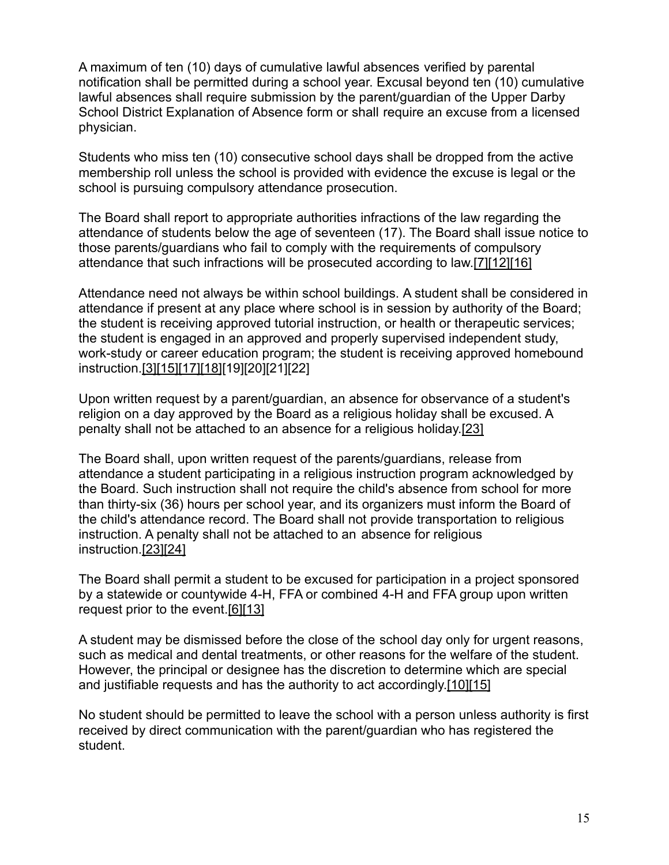A maximum of ten (10) days of cumulative lawful absences verified by parental notification shall be permitted during a school year. Excusal beyond ten (10) cumulative lawful absences shall require submission by the parent/guardian of the Upper Darby School District Explanation of Absence form or shall require an excuse from a licensed physician.

Students who miss ten (10) consecutive school days shall be dropped from the active membership roll unless the school is provided with evidence the excuse is legal or the school is pursuing compulsory attendance prosecution.

The Board shall report to appropriate authorities infractions of the law regarding the attendance of students below the age of seventeen (17). The Board shall issue notice to those parents/guardians who fail to comply with the requirements of compulsory attendance that such infractions will be prosecuted according to law.[\[7\]](http://pacodeandbulletin.gov/Display/pacode?file=/secure/pacode/data/022/chapter12/s12.1.html&d=reduce)[\[12\]](http://www.legis.state.pa.us/cfdocs/legis/LI/uconsCheck.cfm?txtType=HTM&yr=1949&sessInd=0&smthLwInd=0&act=14&chpt=13&sctn=33&subsctn=0)[\[16\]](http://www.legis.state.pa.us/cfdocs/legis/LI/uconsCheck.cfm?txtType=HTM&yr=1949&sessInd=0&smthLwInd=0&act=14&chpt=13&sctn=54&subsctn=0)

Attendance need not always be within school buildings. A student shall be considered in attendance if present at any place where school is in session by authority of the Board; the student is receiving approved tutorial instruction, or health or therapeutic services; the student is engaged in an approved and properly supervised independent study, work-study or career education program; the student is receiving approved homebound instruction.[\[3\]](http://www.legis.state.pa.us/cfdocs/legis/LI/uconsCheck.cfm?txtType=HTM&yr=1949&sessInd=0&smthLwInd=0&act=14&chpt=13&sctn=27&subsctn=0)[\[15\]](http://pacodeandbulletin.gov/Display/pacode?file=/secure/pacode/data/022/chapter11/s11.23.html&d=reduce)[\[17\]](http://pacodeandbulletin.gov/Display/pacode?file=/secure/pacode/data/022/chapter11/s11.22.html&d=reduce)[\[18\]](http://pacodeandbulletin.gov/Display/pacode?file=/secure/pacode/data/022/chapter11/s11.28.html&d=reduce)[19][20][21][22]

Upon written request by a parent/guardian, an absence for observance of a student's religion on a day approved by the Board as a religious holiday shall be excused. A penalty shall not be attached to an absence for a religious holiday.[\[23\]](http://pacodeandbulletin.gov/Display/pacode?file=/secure/pacode/data/022/chapter11/s11.21.html&d=reduce)

The Board shall, upon written request of the parents/guardians, release from attendance a student participating in a religious instruction program acknowledged by the Board. Such instruction shall not require the child's absence from school for more than thirty-six (36) hours per school year, and its organizers must inform the Board of the child's attendance record. The Board shall not provide transportation to religious instruction. A penalty shall not be attached to an absence for religious instruction.[\[23\]](http://pacodeandbulletin.gov/Display/pacode?file=/secure/pacode/data/022/chapter11/s11.21.html&d=reduce)[\[24\]](http://www.legis.state.pa.us/cfdocs/legis/LI/uconsCheck.cfm?txtType=HTM&yr=1949&sessInd=0&smthLwInd=0&act=14&chpt=15&sctn=46&subsctn=0)

The Board shall permit a student to be excused for participation in a project sponsored by a statewide or countywide 4-H, FFA or combined 4-H and FFA group upon written request prior to the event.[\[6\]](http://pacodeandbulletin.gov/Display/pacode?file=/secure/pacode/data/022/chapter11/s11.41.html&d=reduce)[\[13\]](http://www.legis.state.pa.us/cfdocs/legis/LI/uconsCheck.cfm?txtType=HTM&yr=1949&sessInd=0&smthLwInd=0&act=14&chpt=13&sctn=29&subsctn=0)

A student may be dismissed before the close of the school day only for urgent reasons, such as medical and dental treatments, or other reasons for the welfare of the student. However, the principal or designee has the discretion to determine which are special and justifiable requests and has the authority to act accordingly[.\[10\]](http://pacodeandbulletin.gov/Display/pacode?file=/secure/pacode/data/022/chapter11/s11.25.html&d=reduce)[\[15\]](http://pacodeandbulletin.gov/Display/pacode?file=/secure/pacode/data/022/chapter11/s11.23.html&d=reduce)

No student should be permitted to leave the school with a person unless authority is first received by direct communication with the parent/guardian who has registered the student.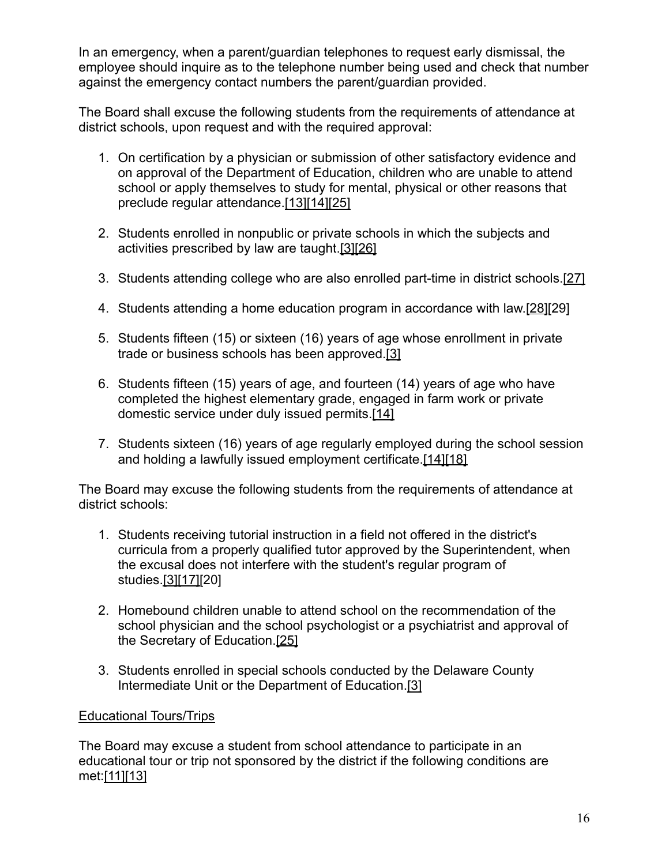In an emergency, when a parent/guardian telephones to request early dismissal, the employee should inquire as to the telephone number being used and check that number against the emergency contact numbers the parent/guardian provided.

The Board shall excuse the following students from the requirements of attendance at district schools, upon request and with the required approval:

- 1. On certification by a physician or submission of other satisfactory evidence and on approval of the Department of Education, children who are unable to attend school or apply themselves to study for mental, physical or other reasons that preclude regular attendance.[\[13\]](http://www.legis.state.pa.us/cfdocs/legis/LI/uconsCheck.cfm?txtType=HTM&yr=1949&sessInd=0&smthLwInd=0&act=14&chpt=13&sctn=29&subsctn=0)[\[14\]](http://www.legis.state.pa.us/cfdocs/legis/LI/uconsCheck.cfm?txtType=HTM&yr=1949&sessInd=0&smthLwInd=0&act=14&chpt=13&sctn=30&subsctn=0)[\[25\]](http://pacodeandbulletin.gov/Display/pacode?file=/secure/pacode/data/022/chapter11/s11.34.html&d=reduce)
- 2. Students enrolled in nonpublic or private schools in which the subjects and activities prescribed by law are taught[.\[3\]](http://www.legis.state.pa.us/cfdocs/legis/LI/uconsCheck.cfm?txtType=HTM&yr=1949&sessInd=0&smthLwInd=0&act=14&chpt=13&sctn=27&subsctn=0)[\[26\]](http://pacodeandbulletin.gov/Display/pacode?file=/secure/pacode/data/022/chapter11/s11.32.html&d=reduce)
- 3. Students attending college who are also enrolled part-time in district schools.[\[27\]](http://pacodeandbulletin.gov/Display/pacode?file=/secure/pacode/data/022/chapter11/s11.5.html&d=reduce)
- 4. Students attending a home education program in accordance with law.[\[28\]\[](http://www.legis.state.pa.us/cfdocs/legis/LI/uconsCheck.cfm?txtType=HTM&yr=1949&sessInd=0&smthLwInd=0&act=14&chpt=13&sctn=27&subsctn=1)29]
- 5. Students fifteen (15) or sixteen (16) years of age whose enrollment in private trade or business schools has been approved[.\[3\]](http://www.legis.state.pa.us/cfdocs/legis/LI/uconsCheck.cfm?txtType=HTM&yr=1949&sessInd=0&smthLwInd=0&act=14&chpt=13&sctn=27&subsctn=0)
- 6. Students fifteen (15) years of age, and fourteen (14) years of age who have completed the highest elementary grade, engaged in farm work or private domestic service under duly issued permits.[\[14\]](http://www.legis.state.pa.us/cfdocs/legis/LI/uconsCheck.cfm?txtType=HTM&yr=1949&sessInd=0&smthLwInd=0&act=14&chpt=13&sctn=30&subsctn=0)
- 7. Students sixteen (16) years of age regularly employed during the school session and holding a lawfully issued employment certificate[.\[14\]](http://www.legis.state.pa.us/cfdocs/legis/LI/uconsCheck.cfm?txtType=HTM&yr=1949&sessInd=0&smthLwInd=0&act=14&chpt=13&sctn=30&subsctn=0)[\[18\]](http://pacodeandbulletin.gov/Display/pacode?file=/secure/pacode/data/022/chapter11/s11.28.html&d=reduce)

The Board may excuse the following students from the requirements of attendance at district schools:

- 1. Students receiving tutorial instruction in a field not offered in the district's curricula from a properly qualified tutor approved by the Superintendent, when the excusal does not interfere with the student's regular program of studies[.\[3\]](http://www.legis.state.pa.us/cfdocs/legis/LI/uconsCheck.cfm?txtType=HTM&yr=1949&sessInd=0&smthLwInd=0&act=14&chpt=13&sctn=27&subsctn=0)[\[17\]\[](http://pacodeandbulletin.gov/Display/pacode?file=/secure/pacode/data/022/chapter11/s11.22.html&d=reduce)20]
- 2. Homebound children unable to attend school on the recommendation of the school physician and the school psychologist or a psychiatrist and approval of the Secretary of Education.[\[25\]](http://pacodeandbulletin.gov/Display/pacode?file=/secure/pacode/data/022/chapter11/s11.34.html&d=reduce)
- 3. Students enrolled in special schools conducted by the Delaware County Intermediate Unit or the Department of Education.[\[3\]](http://www.legis.state.pa.us/cfdocs/legis/LI/uconsCheck.cfm?txtType=HTM&yr=1949&sessInd=0&smthLwInd=0&act=14&chpt=13&sctn=27&subsctn=0)

### Educational Tours/Trips

The Board may excuse a student from school attendance to participate in an educational tour or trip not sponsored by the district if the following conditions are met[:\[11\]](http://pacodeandbulletin.gov/Display/pacode?file=/secure/pacode/data/022/chapter11/s11.26.html&d=reduce)[\[13\]](http://www.legis.state.pa.us/cfdocs/legis/LI/uconsCheck.cfm?txtType=HTM&yr=1949&sessInd=0&smthLwInd=0&act=14&chpt=13&sctn=29&subsctn=0)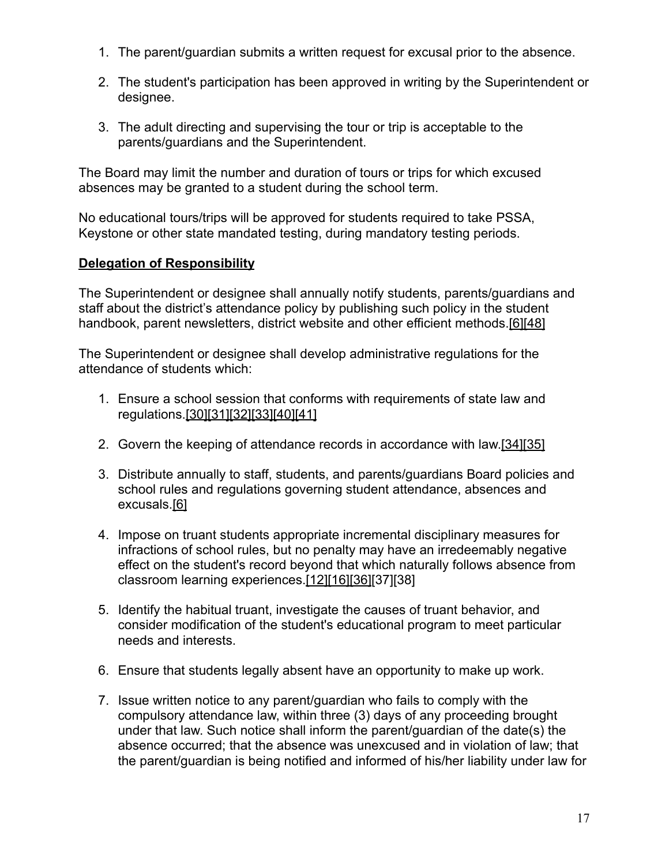- 1. The parent/guardian submits a written request for excusal prior to the absence.
- 2. The student's participation has been approved in writing by the Superintendent or designee.
- 3. The adult directing and supervising the tour or trip is acceptable to the parents/guardians and the Superintendent.

The Board may limit the number and duration of tours or trips for which excused absences may be granted to a student during the school term.

No educational tours/trips will be approved for students required to take PSSA, Keystone or other state mandated testing, during mandatory testing periods.

## **Delegation of Responsibility**

The Superintendent or designee shall annually notify students, parents/guardians and staff about the district's attendance policy by publishing such policy in the student handbook, parent newsletters, district website and other efficient methods.[\[6\]](http://pacodeandbulletin.gov/Display/pacode?file=/secure/pacode/data/022/chapter11/s11.41.html&d=reduce)[\[48\]](http://www.legis.state.pa.us/cfdocs/legis/LI/uconsCheck.cfm?txtType=HTM&yr=1949&sessInd=0&smthLwInd=0&act=14&chpt=5&sctn=10&subsctn=2)

The Superintendent or designee shall develop administrative regulations for the attendance of students which:

- 1. Ensure a school session that conforms with requirements of state law and regulations[.\[30\]](http://www.legis.state.pa.us/cfdocs/legis/LI/uconsCheck.cfm?txtType=HTM&yr=1949&sessInd=0&smthLwInd=0&act=14&chpt=15&sctn=1&subsctn=0)[\[31\]](http://www.legis.state.pa.us/cfdocs/legis/LI/uconsCheck.cfm?txtType=HTM&yr=1949&sessInd=0&smthLwInd=0&act=14&chpt=15&sctn=4&subsctn=0)[\[32\]](http://pacodeandbulletin.gov/Display/pacode?file=/secure/pacode/data/022/chapter4/s4.4.html&d=reduce)[\[33\]](http://pacodeandbulletin.gov/Display/pacode?file=/secure/pacode/data/022/chapter11/s11.1.html&d=reduce)[\[40\]](http://pacodeandbulletin.gov/Display/pacode?file=/secure/pacode/data/022/chapter11/s11.2.html&d=reduce)[\[41\]](http://pacodeandbulletin.gov/Display/pacode?file=/secure/pacode/data/022/chapter11/s11.3.html&d=reduce)
- 2. Govern the keeping of attendance records in accordance with law.[\[34\]](http://www.legis.state.pa.us/cfdocs/legis/LI/uconsCheck.cfm?txtType=HTM&yr=1949&sessInd=0&smthLwInd=0&act=14&chpt=13&sctn=32&subsctn=0)[\[35\]](http://www.legis.state.pa.us/cfdocs/legis/LI/uconsCheck.cfm?txtType=HTM&yr=1949&sessInd=0&smthLwInd=0&act=14&chpt=13&sctn=39&subsctn=0)
- 3. Distribute annually to staff, students, and parents/guardians Board policies and school rules and regulations governing student attendance, absences and excusals[.\[6\]](http://pacodeandbulletin.gov/Display/pacode?file=/secure/pacode/data/022/chapter11/s11.41.html&d=reduce)
- 4. Impose on truant students appropriate incremental disciplinary measures for infractions of school rules, but no penalty may have an irredeemably negative effect on the student's record beyond that which naturally follows absence from classroom learning experiences[.\[12\]](http://www.legis.state.pa.us/cfdocs/legis/LI/uconsCheck.cfm?txtType=HTM&yr=1949&sessInd=0&smthLwInd=0&act=14&chpt=13&sctn=33&subsctn=0)[\[16\]](http://www.legis.state.pa.us/cfdocs/legis/LI/uconsCheck.cfm?txtType=HTM&yr=1949&sessInd=0&smthLwInd=0&act=14&chpt=13&sctn=54&subsctn=0)[\[36\]](http://www.legis.state.pa.us/cfdocs/legis/LI/uconsCheck.cfm?txtType=HTM&yr=1949&sessInd=0&smthLwInd=0&act=14&chpt=13&sctn=38&subsctn=0)[37][38]
- 5. Identify the habitual truant, investigate the causes of truant behavior, and consider modification of the student's educational program to meet particular needs and interests.
- 6. Ensure that students legally absent have an opportunity to make up work.
- 7. Issue written notice to any parent/guardian who fails to comply with the compulsory attendance law, within three (3) days of any proceeding brought under that law. Such notice shall inform the parent/guardian of the date(s) the absence occurred; that the absence was unexcused and in violation of law; that the parent/guardian is being notified and informed of his/her liability under law for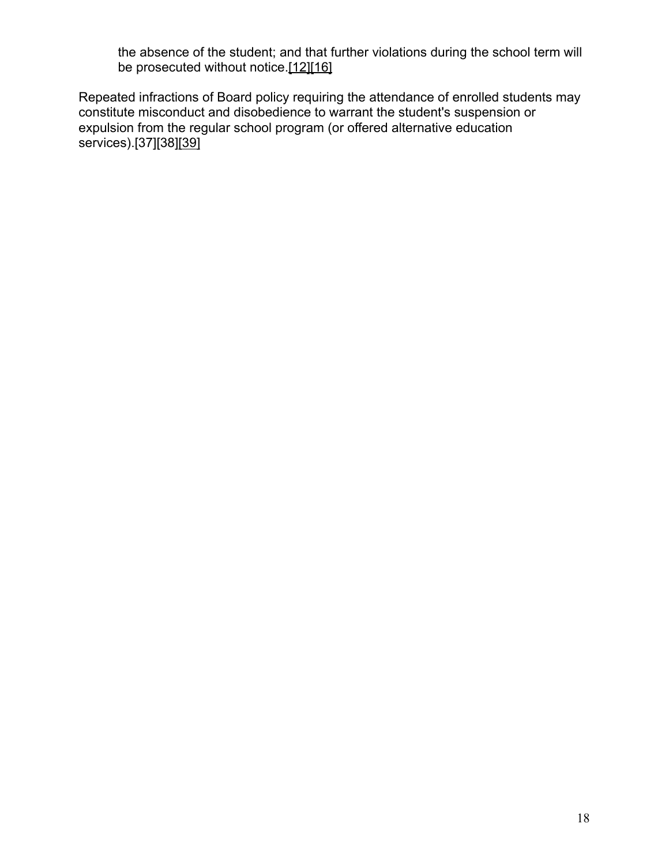the absence of the student; and that further violations during the school term will be prosecuted without notice.[\[12\]](http://www.legis.state.pa.us/cfdocs/legis/LI/uconsCheck.cfm?txtType=HTM&yr=1949&sessInd=0&smthLwInd=0&act=14&chpt=13&sctn=33&subsctn=0)[\[16\]](http://www.legis.state.pa.us/cfdocs/legis/LI/uconsCheck.cfm?txtType=HTM&yr=1949&sessInd=0&smthLwInd=0&act=14&chpt=13&sctn=54&subsctn=0)

Repeated infractions of Board policy requiring the attendance of enrolled students may constitute misconduct and disobedience to warrant the student's suspension or expulsion from the regular school program (or offered alternative education services).[37][38[\]\[39\]](http://www.legis.state.pa.us/cfdocs/legis/LI/uconsCheck.cfm?txtType=HTM&yr=1949&sessInd=0&smthLwInd=0&act=14&chpt=13&sctn=18&subsctn=0)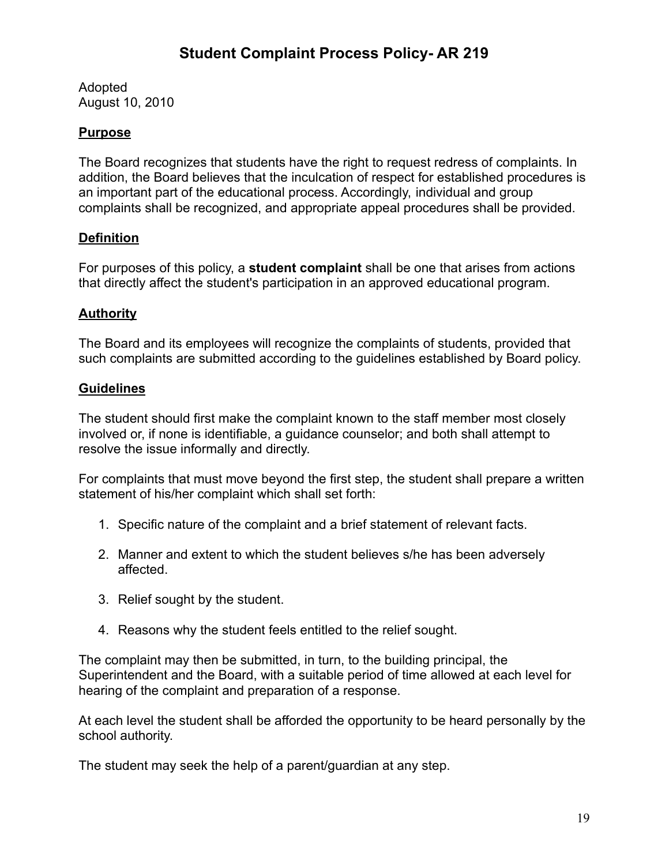Adopted August 10, 2010

## **Purpose**

The Board recognizes that students have the right to request redress of complaints. In addition, the Board believes that the inculcation of respect for established procedures is an important part of the educational process. Accordingly, individual and group complaints shall be recognized, and appropriate appeal procedures shall be provided.

### **Definition**

For purposes of this policy, a **student complaint** shall be one that arises from actions that directly affect the student's participation in an approved educational program.

#### **Authority**

The Board and its employees will recognize the complaints of students, provided that such complaints are submitted according to the guidelines established by Board policy.

#### **Guidelines**

The student should first make the complaint known to the staff member most closely involved or, if none is identifiable, a guidance counselor; and both shall attempt to resolve the issue informally and directly.

For complaints that must move beyond the first step, the student shall prepare a written statement of his/her complaint which shall set forth:

- 1. Specific nature of the complaint and a brief statement of relevant facts.
- 2. Manner and extent to which the student believes s/he has been adversely affected.
- 3. Relief sought by the student.
- 4. Reasons why the student feels entitled to the relief sought.

The complaint may then be submitted, in turn, to the building principal, the Superintendent and the Board, with a suitable period of time allowed at each level for hearing of the complaint and preparation of a response.

At each level the student shall be afforded the opportunity to be heard personally by the school authority.

The student may seek the help of a parent/guardian at any step.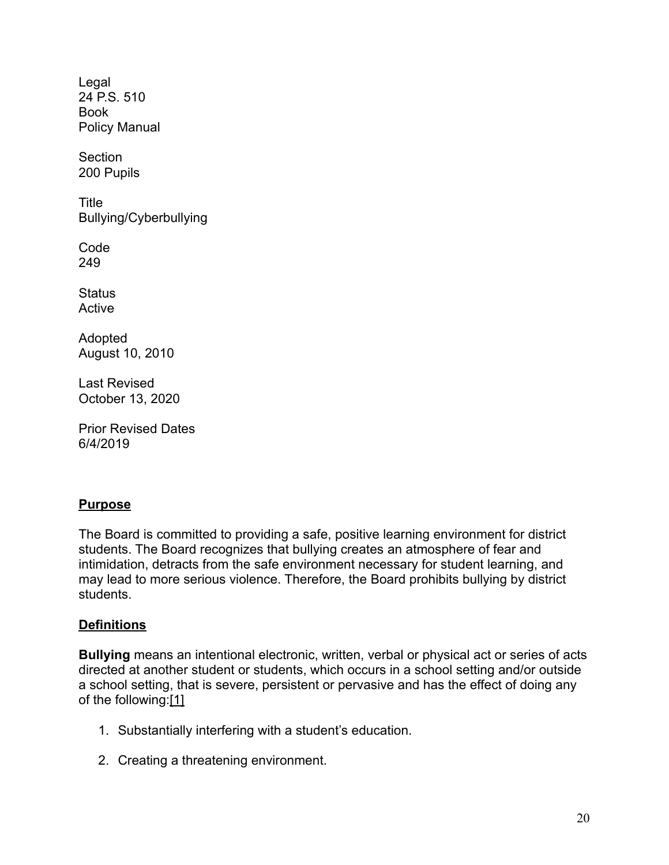Legal [24 P.S. 510](http://www.legis.state.pa.us/cfdocs/legis/LI/uconsCheck.cfm?txtType=HTM&yr=1949&sessInd=0&smthLwInd=0&act=14&chpt=5&sctn=10&subsctn=0) Book Policy Manual

Section 200 Pupils

Title Bullying/Cyberbullying

Code 249

**Status** Active

Adopted August 10, 2010

Last Revised October 13, 2020

Prior Revised Dates 6/4/2019

### **Purpose**

The Board is committed to providing a safe, positive learning environment for district students. The Board recognizes that bullying creates an atmosphere of fear and intimidation, detracts from the safe environment necessary for student learning, and may lead to more serious violence. Therefore, the Board prohibits bullying by district students.

### **Definitions**

**Bullying** means an intentional electronic, written, verbal or physical act or series of acts directed at another student or students, which occurs in a school setting and/or outside a school setting, that is severe, persistent or pervasive and has the effect of doing any of the following[:\[1\]](http://www.legis.state.pa.us/cfdocs/legis/LI/uconsCheck.cfm?txtType=HTM&yr=1949&sessInd=0&smthLwInd=0&act=14&chpt=13A&sctn=3&subsctn=1)

- 1. Substantially interfering with a student's education.
- 2. Creating a threatening environment.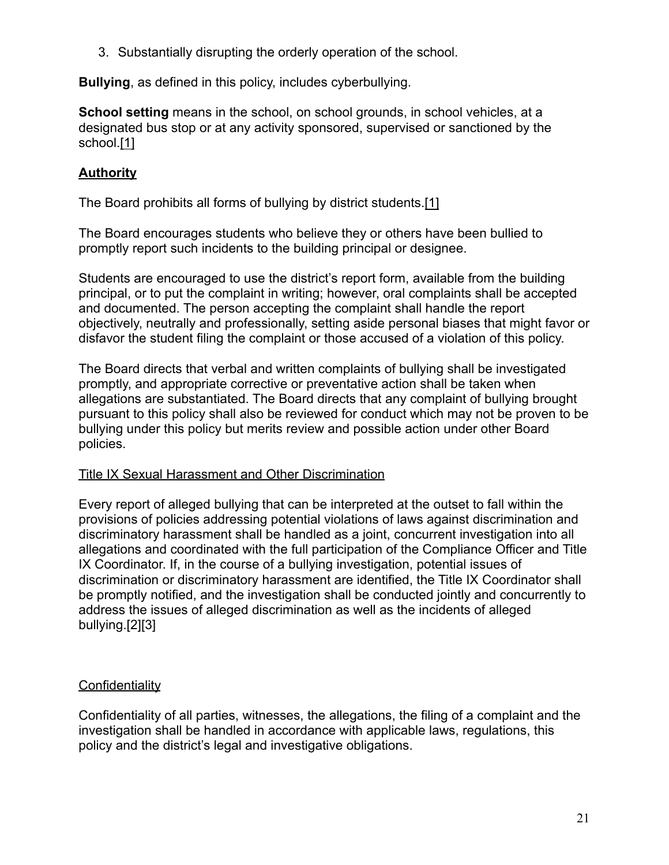3. Substantially disrupting the orderly operation of the school.

**Bullying**, as defined in this policy, includes cyberbullying.

**School setting** means in the school, on school grounds, in school vehicles, at a designated bus stop or at any activity sponsored, supervised or sanctioned by the school[.\[1\]](http://www.legis.state.pa.us/cfdocs/legis/LI/uconsCheck.cfm?txtType=HTM&yr=1949&sessInd=0&smthLwInd=0&act=14&chpt=13A&sctn=3&subsctn=1)

### **Authority**

The Board prohibits all forms of bullying by district students.[\[1\]](http://www.legis.state.pa.us/cfdocs/legis/LI/uconsCheck.cfm?txtType=HTM&yr=1949&sessInd=0&smthLwInd=0&act=14&chpt=13A&sctn=3&subsctn=1)

The Board encourages students who believe they or others have been bullied to promptly report such incidents to the building principal or designee.

Students are encouraged to use the district's report form, available from the building principal, or to put the complaint in writing; however, oral complaints shall be accepted and documented. The person accepting the complaint shall handle the report objectively, neutrally and professionally, setting aside personal biases that might favor or disfavor the student filing the complaint or those accused of a violation of this policy.

The Board directs that verbal and written complaints of bullying shall be investigated promptly, and appropriate corrective or preventative action shall be taken when allegations are substantiated. The Board directs that any complaint of bullying brought pursuant to this policy shall also be reviewed for conduct which may not be proven to be bullying under this policy but merits review and possible action under other Board policies.

#### Title IX Sexual Harassment and Other Discrimination

Every report of alleged bullying that can be interpreted at the outset to fall within the provisions of policies addressing potential violations of laws against discrimination and discriminatory harassment shall be handled as a joint, concurrent investigation into all allegations and coordinated with the full participation of the Compliance Officer and Title IX Coordinator. If, in the course of a bullying investigation, potential issues of discrimination or discriminatory harassment are identified, the Title IX Coordinator shall be promptly notified, and the investigation shall be conducted jointly and concurrently to address the issues of alleged discrimination as well as the incidents of alleged bullying.[2][3]

### **Confidentiality**

Confidentiality of all parties, witnesses, the allegations, the filing of a complaint and the investigation shall be handled in accordance with applicable laws, regulations, this policy and the district's legal and investigative obligations.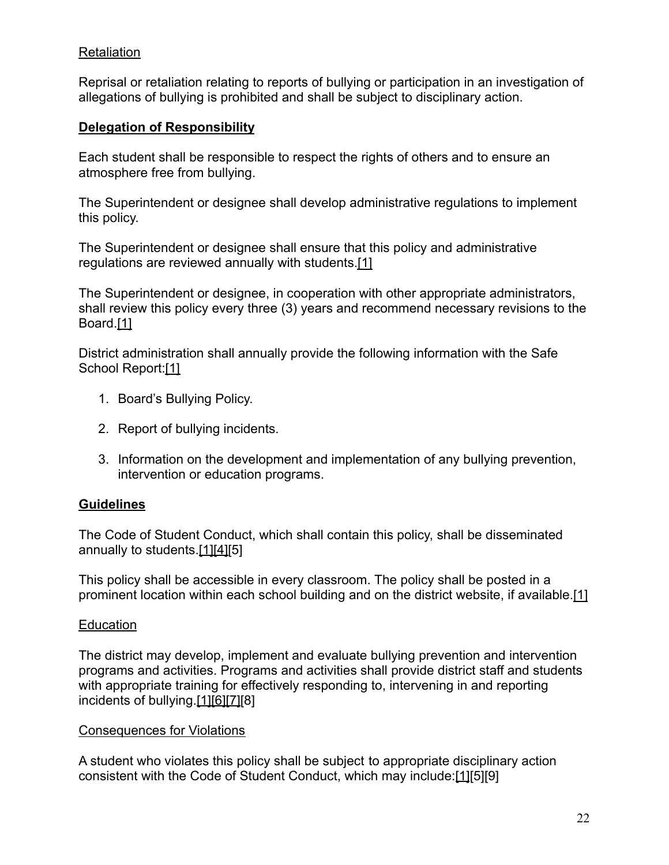#### **Retaliation**

Reprisal or retaliation relating to reports of bullying or participation in an investigation of allegations of bullying is prohibited and shall be subject to disciplinary action.

#### **Delegation of Responsibility**

Each student shall be responsible to respect the rights of others and to ensure an atmosphere free from bullying.

The Superintendent or designee shall develop administrative regulations to implement this policy.

The Superintendent or designee shall ensure that this policy and administrative regulations are reviewed annually with students[.\[1\]](http://www.legis.state.pa.us/cfdocs/legis/LI/uconsCheck.cfm?txtType=HTM&yr=1949&sessInd=0&smthLwInd=0&act=14&chpt=13A&sctn=3&subsctn=1)

The Superintendent or designee, in cooperation with other appropriate administrators, shall review this policy every three (3) years and recommend necessary revisions to the Board[.\[1\]](http://www.legis.state.pa.us/cfdocs/legis/LI/uconsCheck.cfm?txtType=HTM&yr=1949&sessInd=0&smthLwInd=0&act=14&chpt=13A&sctn=3&subsctn=1)

District administration shall annually provide the following information with the Safe School Report[:\[1\]](http://www.legis.state.pa.us/cfdocs/legis/LI/uconsCheck.cfm?txtType=HTM&yr=1949&sessInd=0&smthLwInd=0&act=14&chpt=13A&sctn=3&subsctn=1)

- 1. Board's Bullying Policy.
- 2. Report of bullying incidents.
- 3. Information on the development and implementation of any bullying prevention, intervention or education programs.

### **Guidelines**

The Code of Student Conduct, which shall contain this policy, shall be disseminated annually to students.[\[1\]](http://www.legis.state.pa.us/cfdocs/legis/LI/uconsCheck.cfm?txtType=HTM&yr=1949&sessInd=0&smthLwInd=0&act=14&chpt=13A&sctn=3&subsctn=1)[\[4\]\[](http://pacodeandbulletin.gov/Display/pacode?file=/secure/pacode/data/022/chapter12/s12.3.html&d=reduce)5]

This policy shall be accessible in every classroom. The policy shall be posted in a prominent location within each school building and on the district website, if available.[\[1\]](http://www.legis.state.pa.us/cfdocs/legis/LI/uconsCheck.cfm?txtType=HTM&yr=1949&sessInd=0&smthLwInd=0&act=14&chpt=13A&sctn=3&subsctn=1)

#### **Education**

The district may develop, implement and evaluate bullying prevention and intervention programs and activities. Programs and activities shall provide district staff and students with appropriate training for effectively responding to, intervening in and reporting incidents of bullying.[\[1\]](http://www.legis.state.pa.us/cfdocs/legis/LI/uconsCheck.cfm?txtType=HTM&yr=1949&sessInd=0&smthLwInd=0&act=14&chpt=13A&sctn=3&subsctn=1)[\[6\]](http://www.legis.state.pa.us/cfdocs/legis/LI/uconsCheck.cfm?txtType=HTM&yr=1949&sessInd=0&smthLwInd=0&act=14&chpt=13A&sctn=2&subsctn=0)[\[7\]](https://www.law.cornell.edu/uscode/text/20/7118)[8]

#### Consequences for Violations

A student who violates this policy shall be subject to appropriate disciplinary action consistent with the Code of Student Conduct, which may include:[\[1\]](http://www.legis.state.pa.us/cfdocs/legis/LI/uconsCheck.cfm?txtType=HTM&yr=1949&sessInd=0&smthLwInd=0&act=14&chpt=13A&sctn=3&subsctn=1)[5][9]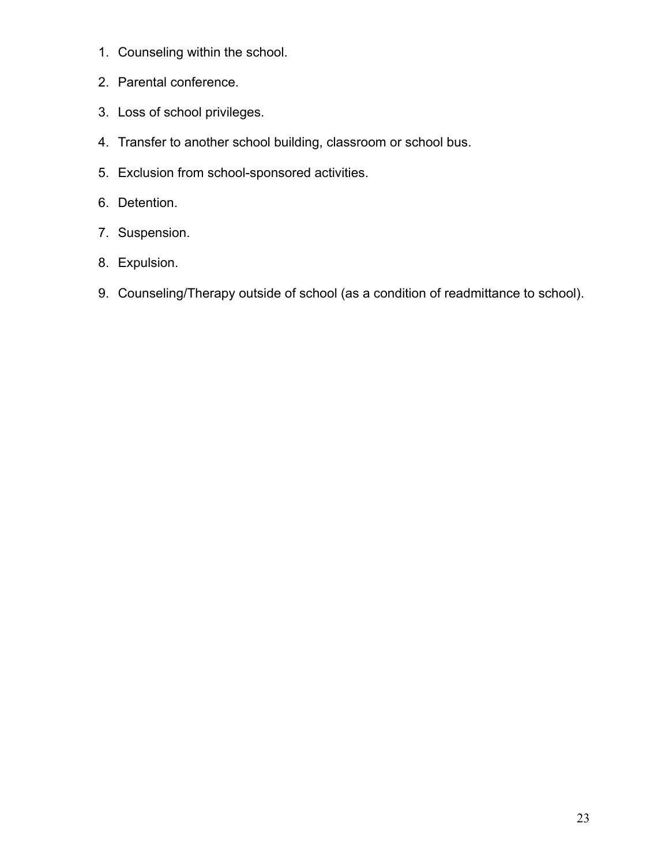- 1. Counseling within the school.
- 2. Parental conference.
- 3. Loss of school privileges.
- 4. Transfer to another school building, classroom or school bus.
- 5. Exclusion from school-sponsored activities.
- 6. Detention.
- 7. Suspension.
- 8. Expulsion.
- 9. Counseling/Therapy outside of school (as a condition of readmittance to school).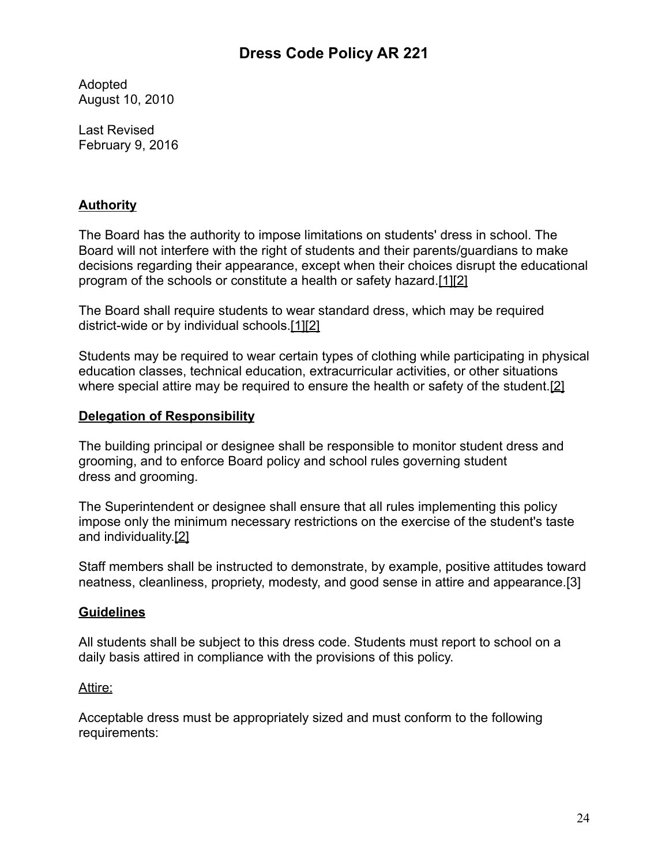## **Dress Code Policy AR 221**

Adopted August 10, 2010

Last Revised February 9, 2016

### **Authority**

The Board has the authority to impose limitations on students' dress in school. The Board will not interfere with the right of students and their parents/guardians to make decisions regarding their appearance, except when their choices disrupt the educational program of the schools or constitute a health or safety hazard.[\[1\]](http://www.legis.state.pa.us/cfdocs/legis/LI/uconsCheck.cfm?txtType=HTM&yr=1949&sessInd=0&smthLwInd=0&act=14&chpt=13&sctn=17&subsctn=3)[\[2\]](http://pacodeandbulletin.gov/Display/pacode?file=/secure/pacode/data/022/chapter12/s12.11.html&d=reduce)

The Board shall require students to wear standard dress, which may be required district-wide or by individual schools.[\[1\]](http://www.legis.state.pa.us/cfdocs/legis/LI/uconsCheck.cfm?txtType=HTM&yr=1949&sessInd=0&smthLwInd=0&act=14&chpt=13&sctn=17&subsctn=3)[\[2\]](http://pacodeandbulletin.gov/Display/pacode?file=/secure/pacode/data/022/chapter12/s12.11.html&d=reduce)

Students may be required to wear certain types of clothing while participating in physical education classes, technical education, extracurricular activities, or other situations where special attire may be required to ensure the health or safety of the student.<sup>[\[2\]](http://pacodeandbulletin.gov/Display/pacode?file=/secure/pacode/data/022/chapter12/s12.11.html&d=reduce)</sup>

### **Delegation of Responsibility**

The building principal or designee shall be responsible to monitor student dress and grooming, and to enforce Board policy and school rules governing student dress and grooming.

The Superintendent or designee shall ensure that all rules implementing this policy impose only the minimum necessary restrictions on the exercise of the student's taste and individuality.[\[2\]](http://pacodeandbulletin.gov/Display/pacode?file=/secure/pacode/data/022/chapter12/s12.11.html&d=reduce)

Staff members shall be instructed to demonstrate, by example, positive attitudes toward neatness, cleanliness, propriety, modesty, and good sense in attire and appearance.[3]

### **Guidelines**

All students shall be subject to this dress code. Students must report to school on a daily basis attired in compliance with the provisions of this policy.

#### Attire:

Acceptable dress must be appropriately sized and must conform to the following requirements: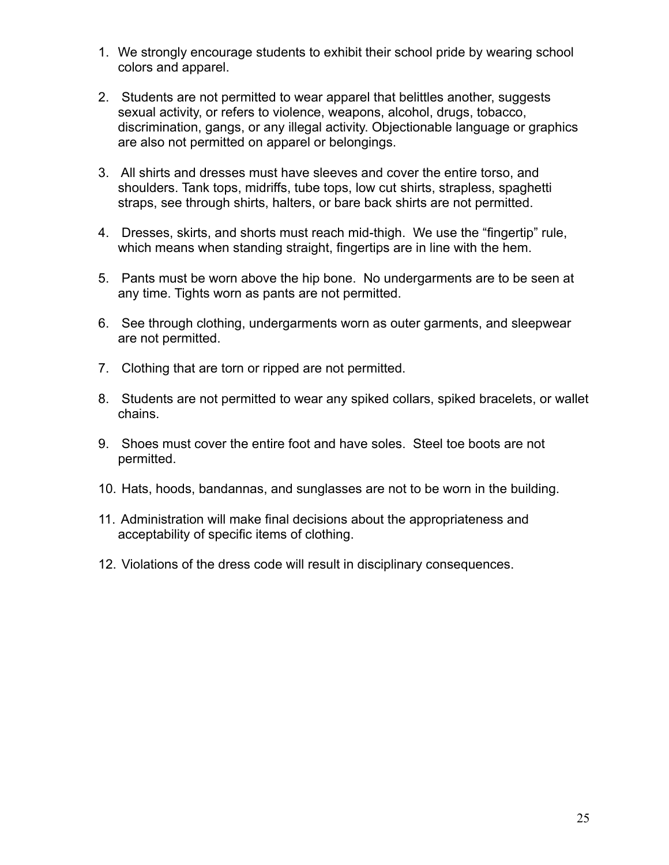- 1. We strongly encourage students to exhibit their school pride by wearing school colors and apparel.
- 2. Students are not permitted to wear apparel that belittles another, suggests sexual activity, or refers to violence, weapons, alcohol, drugs, tobacco, discrimination, gangs, or any illegal activity. Objectionable language or graphics are also not permitted on apparel or belongings.
- 3. All shirts and dresses must have sleeves and cover the entire torso, and shoulders. Tank tops, midriffs, tube tops, low cut shirts, strapless, spaghetti straps, see through shirts, halters, or bare back shirts are not permitted.
- 4. Dresses, skirts, and shorts must reach mid-thigh. We use the "fingertip" rule, which means when standing straight, fingertips are in line with the hem.
- 5. Pants must be worn above the hip bone. No undergarments are to be seen at any time. Tights worn as pants are not permitted.
- 6. See through clothing, undergarments worn as outer garments, and sleepwear are not permitted.
- 7. Clothing that are torn or ripped are not permitted.
- 8. Students are not permitted to wear any spiked collars, spiked bracelets, or wallet chains.
- 9. Shoes must cover the entire foot and have soles. Steel toe boots are not permitted.
- 10. Hats, hoods, bandannas, and sunglasses are not to be worn in the building.
- 11. Administration will make final decisions about the appropriateness and acceptability of specific items of clothing.
- 12. Violations of the dress code will result in disciplinary consequences.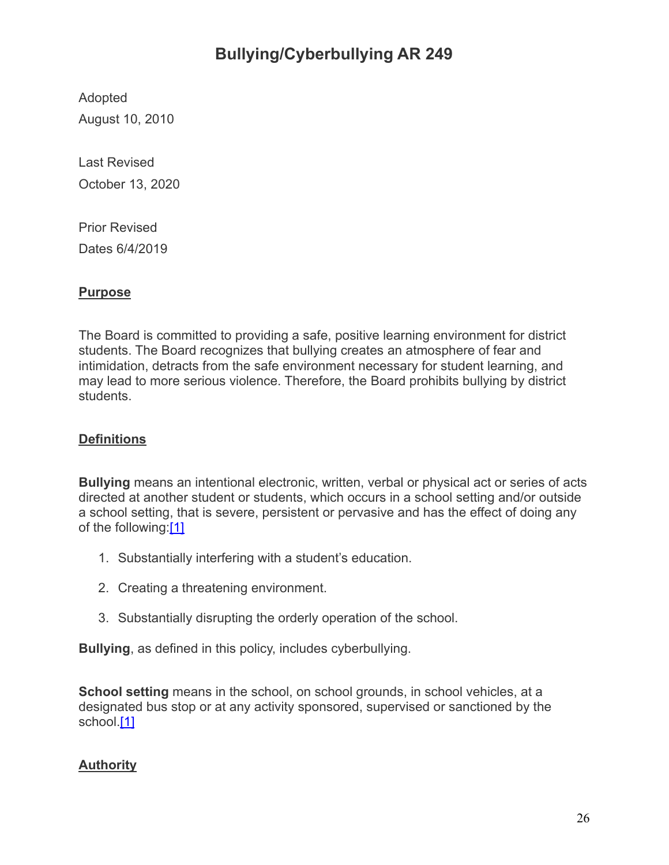## **Bullying/Cyberbullying AR 249**

Adopted August 10, 2010

Last Revised October 13, 2020

Prior Revised Dates 6/4/2019

## **Purpose**

The Board is committed to providing a safe, positive learning environment for district students. The Board recognizes that bullying creates an atmosphere of fear and intimidation, detracts from the safe environment necessary for student learning, and may lead to more serious violence. Therefore, the Board prohibits bullying by district students.

## **Definitions**

**Bullying** means an intentional electronic, written, verbal or physical act or series of acts directed at another student or students, which occurs in a school setting and/or outside a school setting, that is severe, persistent or pervasive and has the effect of doing any of the following[:\[1\]](http://www.legis.state.pa.us/cfdocs/legis/LI/uconsCheck.cfm?txtType=HTM&yr=1949&sessInd=0&smthLwInd=0&act=14&chpt=13A&sctn=3&subsctn=1)

- 1. Substantially interfering with a student's education.
- 2. Creating a threatening environment.
- 3. Substantially disrupting the orderly operation of the school.

**Bullying**, as defined in this policy, includes cyberbullying.

**School setting** means in the school, on school grounds, in school vehicles, at a designated bus stop or at any activity sponsored, supervised or sanctioned by the school[.\[1\]](http://www.legis.state.pa.us/cfdocs/legis/LI/uconsCheck.cfm?txtType=HTM&yr=1949&sessInd=0&smthLwInd=0&act=14&chpt=13A&sctn=3&subsctn=1)

## **Authority**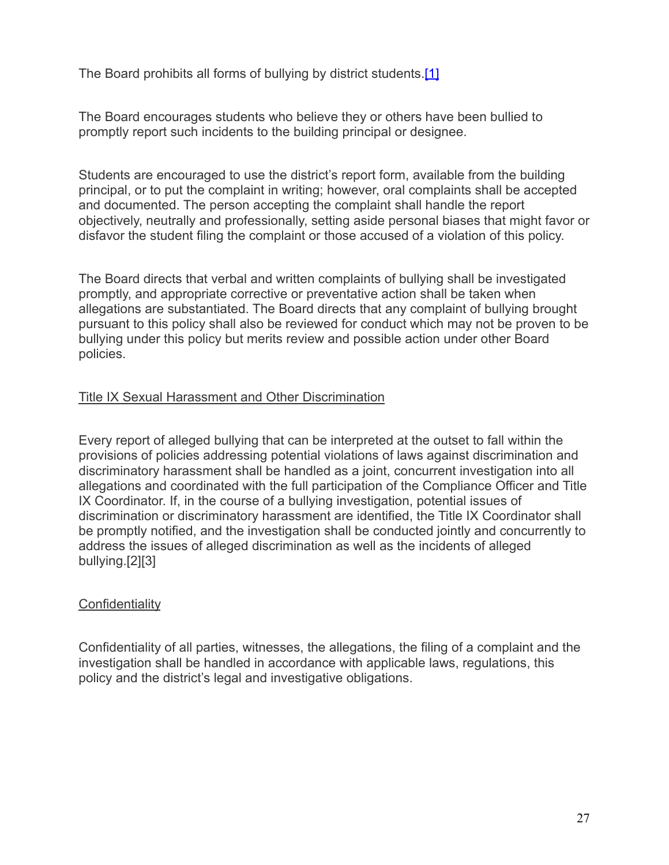The Board prohibits all forms of bullying by district students.[\[1\]](http://www.legis.state.pa.us/cfdocs/legis/LI/uconsCheck.cfm?txtType=HTM&yr=1949&sessInd=0&smthLwInd=0&act=14&chpt=13A&sctn=3&subsctn=1)

The Board encourages students who believe they or others have been bullied to promptly report such incidents to the building principal or designee.

Students are encouraged to use the district's report form, available from the building principal, or to put the complaint in writing; however, oral complaints shall be accepted and documented. The person accepting the complaint shall handle the report objectively, neutrally and professionally, setting aside personal biases that might favor or disfavor the student filing the complaint or those accused of a violation of this policy.

The Board directs that verbal and written complaints of bullying shall be investigated promptly, and appropriate corrective or preventative action shall be taken when allegations are substantiated. The Board directs that any complaint of bullying brought pursuant to this policy shall also be reviewed for conduct which may not be proven to be bullying under this policy but merits review and possible action under other Board policies.

#### Title IX Sexual Harassment and Other Discrimination

Every report of alleged bullying that can be interpreted at the outset to fall within the provisions of policies addressing potential violations of laws against discrimination and discriminatory harassment shall be handled as a joint, concurrent investigation into all allegations and coordinated with the full participation of the Compliance Officer and Title IX Coordinator. If, in the course of a bullying investigation, potential issues of discrimination or discriminatory harassment are identified, the Title IX Coordinator shall be promptly notified, and the investigation shall be conducted jointly and concurrently to address the issues of alleged discrimination as well as the incidents of alleged bullying.[2][3]

#### **Confidentiality**

Confidentiality of all parties, witnesses, the allegations, the filing of a complaint and the investigation shall be handled in accordance with applicable laws, regulations, this policy and the district's legal and investigative obligations.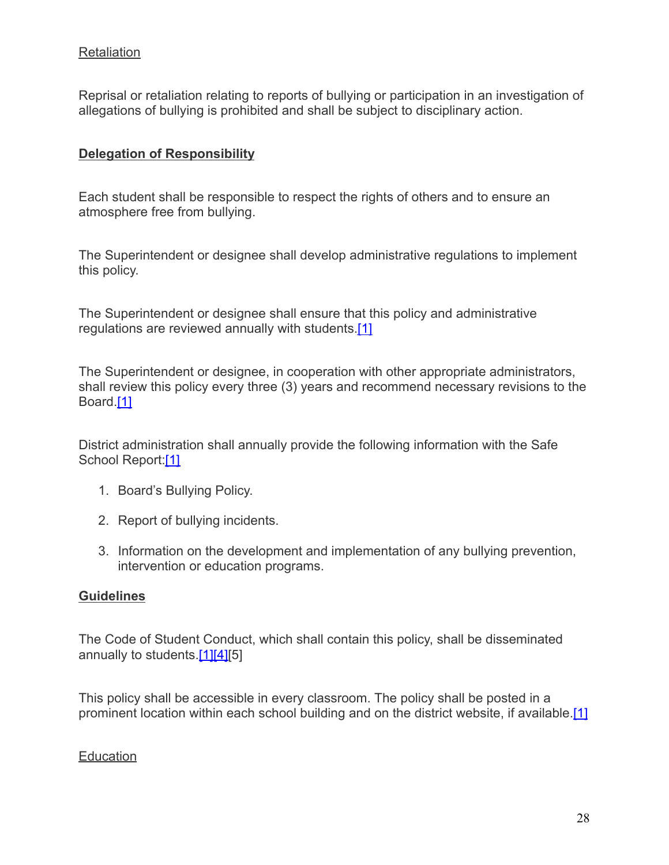### **Retaliation**

Reprisal or retaliation relating to reports of bullying or participation in an investigation of allegations of bullying is prohibited and shall be subject to disciplinary action.

#### **Delegation of Responsibility**

Each student shall be responsible to respect the rights of others and to ensure an atmosphere free from bullying.

The Superintendent or designee shall develop administrative regulations to implement this policy.

The Superintendent or designee shall ensure that this policy and administrative regulations are reviewed annually with students[.\[1\]](http://www.legis.state.pa.us/cfdocs/legis/LI/uconsCheck.cfm?txtType=HTM&yr=1949&sessInd=0&smthLwInd=0&act=14&chpt=13A&sctn=3&subsctn=1)

The Superintendent or designee, in cooperation with other appropriate administrators, shall review this policy every three (3) years and recommend necessary revisions to the Board[.\[1\]](http://www.legis.state.pa.us/cfdocs/legis/LI/uconsCheck.cfm?txtType=HTM&yr=1949&sessInd=0&smthLwInd=0&act=14&chpt=13A&sctn=3&subsctn=1)

District administration shall annually provide the following information with the Safe School Report[:\[1\]](http://www.legis.state.pa.us/cfdocs/legis/LI/uconsCheck.cfm?txtType=HTM&yr=1949&sessInd=0&smthLwInd=0&act=14&chpt=13A&sctn=3&subsctn=1)

- 1. Board's Bullying Policy.
- 2. Report of bullying incidents.
- 3. Information on the development and implementation of any bullying prevention, intervention or education programs.

#### **Guidelines**

The Code of Student Conduct, which shall contain this policy, shall be disseminated annually to students.[\[1\]](http://www.legis.state.pa.us/cfdocs/legis/LI/uconsCheck.cfm?txtType=HTM&yr=1949&sessInd=0&smthLwInd=0&act=14&chpt=13A&sctn=3&subsctn=1)[\[4\]\[](http://pacodeandbulletin.gov/Display/pacode?file=/secure/pacode/data/022/chapter12/s12.3.html&d=reduce)5]

This policy shall be accessible in every classroom. The policy shall be posted in a prominent location within each school building and on the district website, if available.[\[1\]](http://www.legis.state.pa.us/cfdocs/legis/LI/uconsCheck.cfm?txtType=HTM&yr=1949&sessInd=0&smthLwInd=0&act=14&chpt=13A&sctn=3&subsctn=1)

**Education**